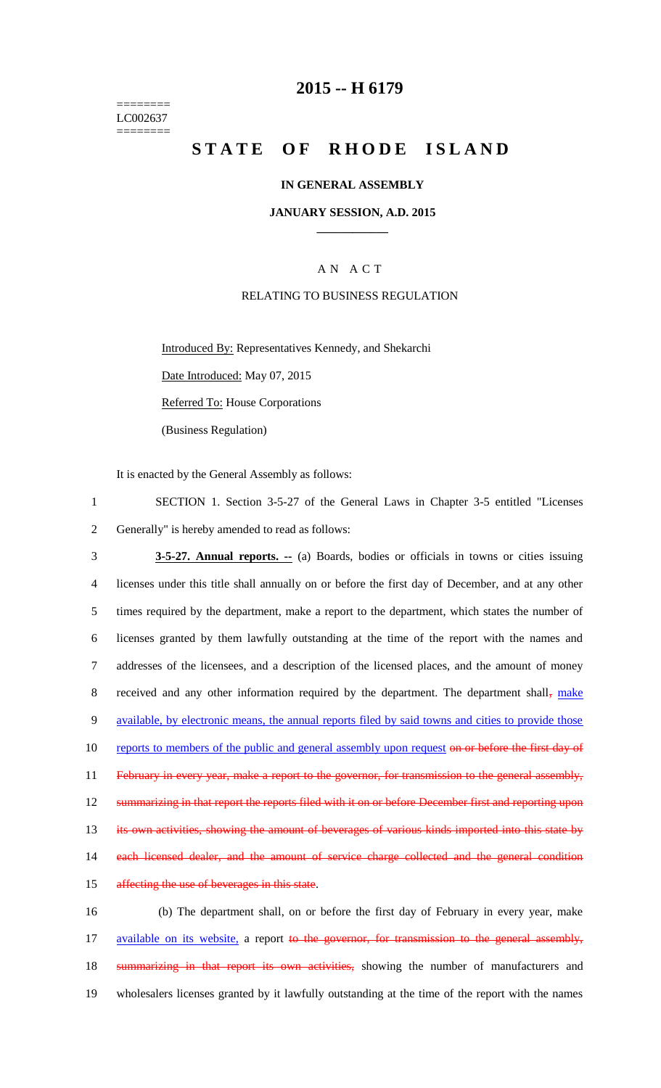======== LC002637 ========

## **2015 -- H 6179**

# **STATE OF RHODE ISLAND**

### **IN GENERAL ASSEMBLY**

### **JANUARY SESSION, A.D. 2015 \_\_\_\_\_\_\_\_\_\_\_\_**

### A N A C T

### RELATING TO BUSINESS REGULATION

Introduced By: Representatives Kennedy, and Shekarchi

Date Introduced: May 07, 2015

Referred To: House Corporations

(Business Regulation)

It is enacted by the General Assembly as follows:

1 SECTION 1. Section 3-5-27 of the General Laws in Chapter 3-5 entitled "Licenses 2 Generally" is hereby amended to read as follows:

3 **3-5-27. Annual reports. --** (a) Boards, bodies or officials in towns or cities issuing 4 licenses under this title shall annually on or before the first day of December, and at any other 5 times required by the department, make a report to the department, which states the number of 6 licenses granted by them lawfully outstanding at the time of the report with the names and 7 addresses of the licensees, and a description of the licensed places, and the amount of money 8 received and any other information required by the department. The department shall, make 9 available, by electronic means, the annual reports filed by said towns and cities to provide those 10 reports to members of the public and general assembly upon request on or before the first day of 11 February in every year, make a report to the governor, for transmission to the general assembly, 12 summarizing in that report the reports filed with it on or before December first and reporting upon 13 its own activities, showing the amount of beverages of various kinds imported into this state by 14 each licensed dealer, and the amount of service charge collected and the general condition 15 affecting the use of beverages in this state. 16 (b) The department shall, on or before the first day of February in every year, make

17 available on its website, a report to the governor, for transmission to the general assembly, 18 summarizing in that report its own activities, showing the number of manufacturers and 19 wholesalers licenses granted by it lawfully outstanding at the time of the report with the names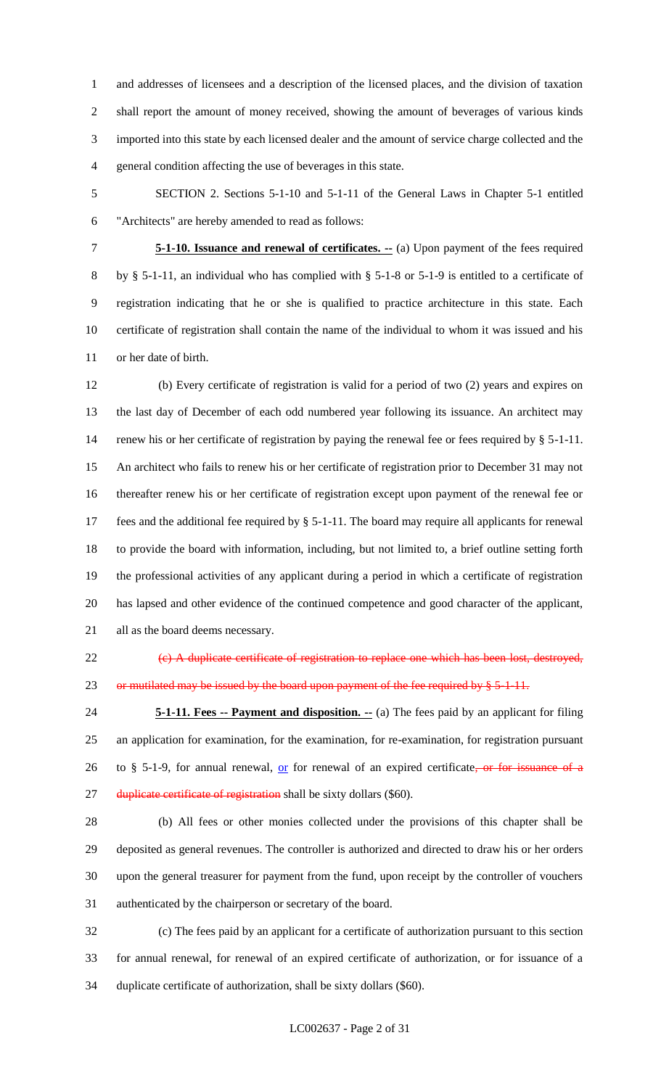and addresses of licensees and a description of the licensed places, and the division of taxation shall report the amount of money received, showing the amount of beverages of various kinds imported into this state by each licensed dealer and the amount of service charge collected and the general condition affecting the use of beverages in this state.

 SECTION 2. Sections 5-1-10 and 5-1-11 of the General Laws in Chapter 5-1 entitled "Architects" are hereby amended to read as follows:

 **5-1-10. Issuance and renewal of certificates. --** (a) Upon payment of the fees required by § 5-1-11, an individual who has complied with § 5-1-8 or 5-1-9 is entitled to a certificate of registration indicating that he or she is qualified to practice architecture in this state. Each certificate of registration shall contain the name of the individual to whom it was issued and his or her date of birth.

 (b) Every certificate of registration is valid for a period of two (2) years and expires on the last day of December of each odd numbered year following its issuance. An architect may 14 renew his or her certificate of registration by paying the renewal fee or fees required by § 5-1-11. An architect who fails to renew his or her certificate of registration prior to December 31 may not thereafter renew his or her certificate of registration except upon payment of the renewal fee or fees and the additional fee required by § 5-1-11. The board may require all applicants for renewal to provide the board with information, including, but not limited to, a brief outline setting forth the professional activities of any applicant during a period in which a certificate of registration has lapsed and other evidence of the continued competence and good character of the applicant, all as the board deems necessary.

 (c) A duplicate certificate of registration to replace one which has been lost, destroyed, 23 or mutilated may be issued by the board upon payment of the fee required by  $\S 5-1-11$ .

 **5-1-11. Fees -- Payment and disposition. --** (a) The fees paid by an applicant for filing an application for examination, for the examination, for re-examination, for registration pursuant 26 to § 5-1-9, for annual renewal,  $or$  for renewal of an expired certificate, or for issuance of a 27 duplicate certificate of registration shall be sixty dollars (\$60).

 (b) All fees or other monies collected under the provisions of this chapter shall be deposited as general revenues. The controller is authorized and directed to draw his or her orders upon the general treasurer for payment from the fund, upon receipt by the controller of vouchers authenticated by the chairperson or secretary of the board.

 (c) The fees paid by an applicant for a certificate of authorization pursuant to this section for annual renewal, for renewal of an expired certificate of authorization, or for issuance of a duplicate certificate of authorization, shall be sixty dollars (\$60).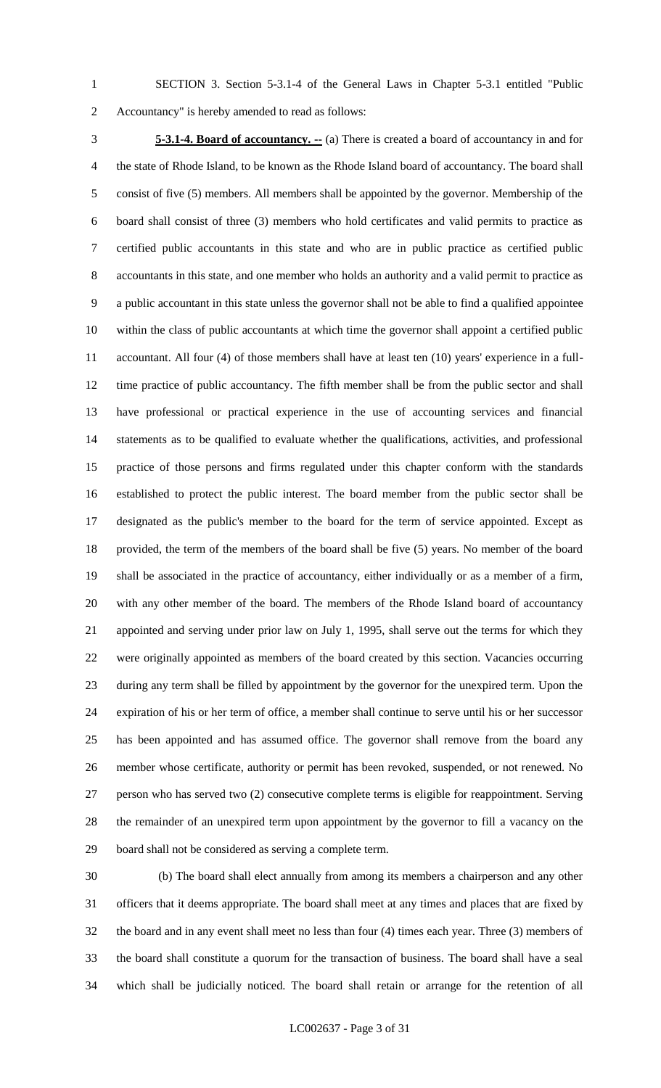SECTION 3. Section 5-3.1-4 of the General Laws in Chapter 5-3.1 entitled "Public Accountancy" is hereby amended to read as follows:

 **5-3.1-4. Board of accountancy. --** (a) There is created a board of accountancy in and for the state of Rhode Island, to be known as the Rhode Island board of accountancy. The board shall consist of five (5) members. All members shall be appointed by the governor. Membership of the board shall consist of three (3) members who hold certificates and valid permits to practice as certified public accountants in this state and who are in public practice as certified public accountants in this state, and one member who holds an authority and a valid permit to practice as a public accountant in this state unless the governor shall not be able to find a qualified appointee within the class of public accountants at which time the governor shall appoint a certified public accountant. All four (4) of those members shall have at least ten (10) years' experience in a full- time practice of public accountancy. The fifth member shall be from the public sector and shall have professional or practical experience in the use of accounting services and financial statements as to be qualified to evaluate whether the qualifications, activities, and professional practice of those persons and firms regulated under this chapter conform with the standards established to protect the public interest. The board member from the public sector shall be designated as the public's member to the board for the term of service appointed. Except as provided, the term of the members of the board shall be five (5) years. No member of the board shall be associated in the practice of accountancy, either individually or as a member of a firm, with any other member of the board. The members of the Rhode Island board of accountancy appointed and serving under prior law on July 1, 1995, shall serve out the terms for which they were originally appointed as members of the board created by this section. Vacancies occurring during any term shall be filled by appointment by the governor for the unexpired term. Upon the expiration of his or her term of office, a member shall continue to serve until his or her successor has been appointed and has assumed office. The governor shall remove from the board any member whose certificate, authority or permit has been revoked, suspended, or not renewed. No person who has served two (2) consecutive complete terms is eligible for reappointment. Serving the remainder of an unexpired term upon appointment by the governor to fill a vacancy on the board shall not be considered as serving a complete term.

 (b) The board shall elect annually from among its members a chairperson and any other officers that it deems appropriate. The board shall meet at any times and places that are fixed by the board and in any event shall meet no less than four (4) times each year. Three (3) members of the board shall constitute a quorum for the transaction of business. The board shall have a seal which shall be judicially noticed. The board shall retain or arrange for the retention of all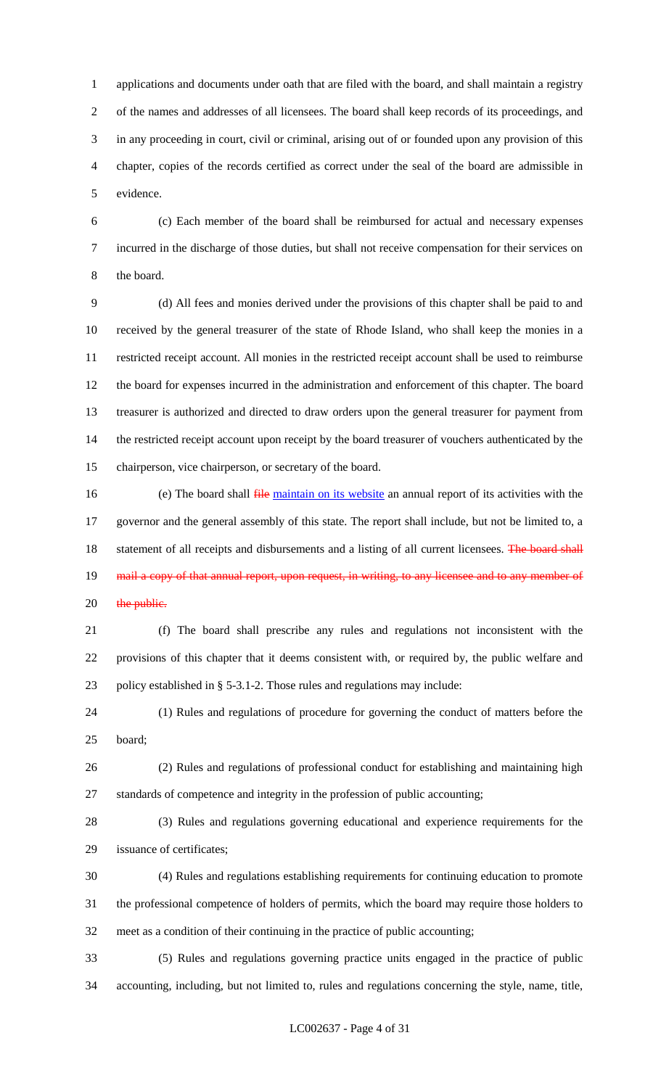applications and documents under oath that are filed with the board, and shall maintain a registry of the names and addresses of all licensees. The board shall keep records of its proceedings, and in any proceeding in court, civil or criminal, arising out of or founded upon any provision of this chapter, copies of the records certified as correct under the seal of the board are admissible in evidence.

 (c) Each member of the board shall be reimbursed for actual and necessary expenses incurred in the discharge of those duties, but shall not receive compensation for their services on the board.

 (d) All fees and monies derived under the provisions of this chapter shall be paid to and received by the general treasurer of the state of Rhode Island, who shall keep the monies in a restricted receipt account. All monies in the restricted receipt account shall be used to reimburse the board for expenses incurred in the administration and enforcement of this chapter. The board treasurer is authorized and directed to draw orders upon the general treasurer for payment from the restricted receipt account upon receipt by the board treasurer of vouchers authenticated by the chairperson, vice chairperson, or secretary of the board.

16 (e) The board shall  $\frac{f}{r}$  ile maintain on its website an annual report of its activities with the governor and the general assembly of this state. The report shall include, but not be limited to, a 18 statement of all receipts and disbursements and a listing of all current licensees. The board shall 19 mail a copy of that annual report, upon request, in writing, to any licensee and to any member of 20 the public.

 (f) The board shall prescribe any rules and regulations not inconsistent with the provisions of this chapter that it deems consistent with, or required by, the public welfare and policy established in § 5-3.1-2. Those rules and regulations may include:

 (1) Rules and regulations of procedure for governing the conduct of matters before the board;

 (2) Rules and regulations of professional conduct for establishing and maintaining high standards of competence and integrity in the profession of public accounting;

 (3) Rules and regulations governing educational and experience requirements for the issuance of certificates;

 (4) Rules and regulations establishing requirements for continuing education to promote the professional competence of holders of permits, which the board may require those holders to meet as a condition of their continuing in the practice of public accounting;

 (5) Rules and regulations governing practice units engaged in the practice of public accounting, including, but not limited to, rules and regulations concerning the style, name, title,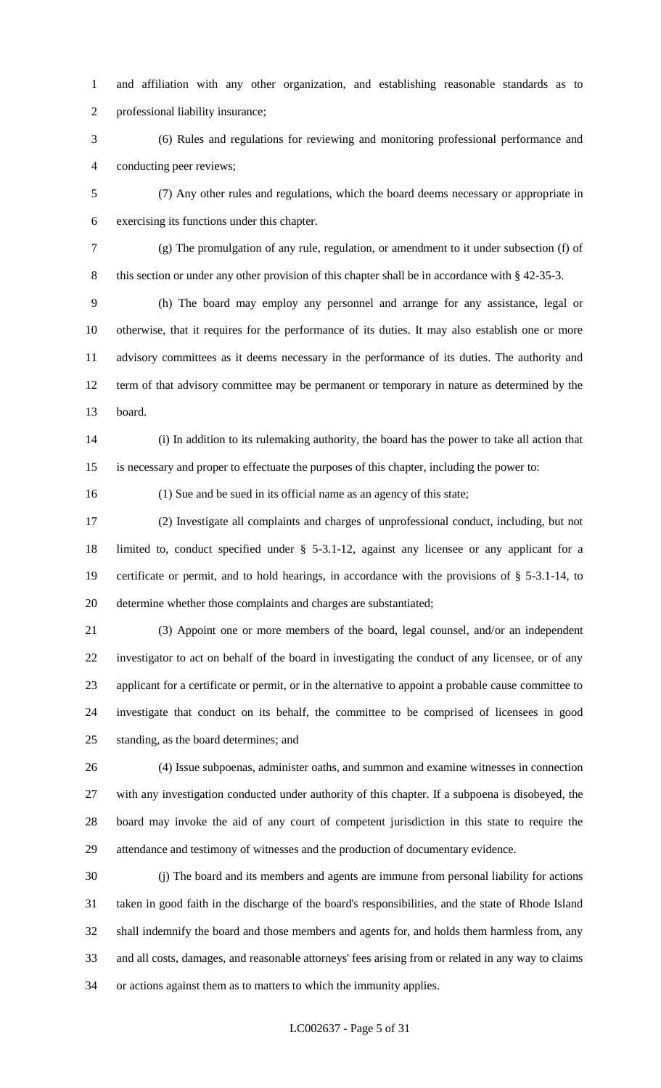and affiliation with any other organization, and establishing reasonable standards as to professional liability insurance;

 (6) Rules and regulations for reviewing and monitoring professional performance and conducting peer reviews;

 (7) Any other rules and regulations, which the board deems necessary or appropriate in exercising its functions under this chapter.

 (g) The promulgation of any rule, regulation, or amendment to it under subsection (f) of 8 this section or under any other provision of this chapter shall be in accordance with § 42-35-3.

 (h) The board may employ any personnel and arrange for any assistance, legal or otherwise, that it requires for the performance of its duties. It may also establish one or more advisory committees as it deems necessary in the performance of its duties. The authority and term of that advisory committee may be permanent or temporary in nature as determined by the board.

 (i) In addition to its rulemaking authority, the board has the power to take all action that is necessary and proper to effectuate the purposes of this chapter, including the power to:

(1) Sue and be sued in its official name as an agency of this state;

 (2) Investigate all complaints and charges of unprofessional conduct, including, but not limited to, conduct specified under § 5-3.1-12, against any licensee or any applicant for a certificate or permit, and to hold hearings, in accordance with the provisions of § 5-3.1-14, to determine whether those complaints and charges are substantiated;

 (3) Appoint one or more members of the board, legal counsel, and/or an independent investigator to act on behalf of the board in investigating the conduct of any licensee, or of any applicant for a certificate or permit, or in the alternative to appoint a probable cause committee to investigate that conduct on its behalf, the committee to be comprised of licensees in good standing, as the board determines; and

 (4) Issue subpoenas, administer oaths, and summon and examine witnesses in connection with any investigation conducted under authority of this chapter. If a subpoena is disobeyed, the board may invoke the aid of any court of competent jurisdiction in this state to require the attendance and testimony of witnesses and the production of documentary evidence.

 (j) The board and its members and agents are immune from personal liability for actions taken in good faith in the discharge of the board's responsibilities, and the state of Rhode Island shall indemnify the board and those members and agents for, and holds them harmless from, any and all costs, damages, and reasonable attorneys' fees arising from or related in any way to claims or actions against them as to matters to which the immunity applies.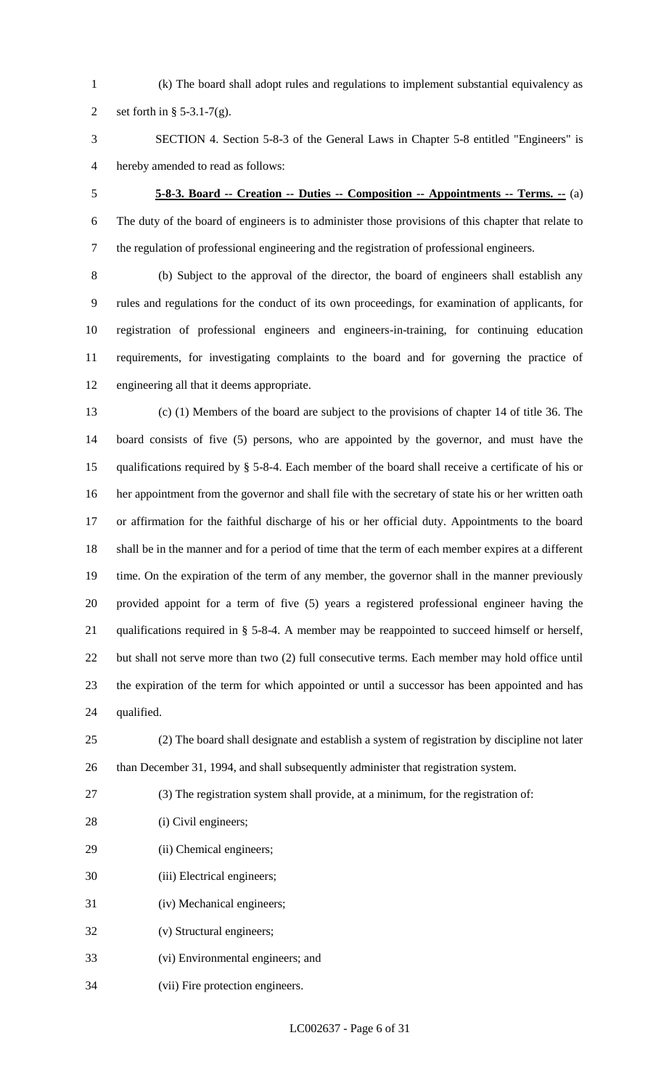(k) The board shall adopt rules and regulations to implement substantial equivalency as

2 set forth in  $\S$  5-3.1-7(g).

 SECTION 4. Section 5-8-3 of the General Laws in Chapter 5-8 entitled "Engineers" is hereby amended to read as follows:

# **5-8-3. Board -- Creation -- Duties -- Composition -- Appointments -- Terms. --** (a)

 The duty of the board of engineers is to administer those provisions of this chapter that relate to the regulation of professional engineering and the registration of professional engineers.

 (b) Subject to the approval of the director, the board of engineers shall establish any rules and regulations for the conduct of its own proceedings, for examination of applicants, for registration of professional engineers and engineers-in-training, for continuing education requirements, for investigating complaints to the board and for governing the practice of engineering all that it deems appropriate.

 (c) (1) Members of the board are subject to the provisions of chapter 14 of title 36. The board consists of five (5) persons, who are appointed by the governor, and must have the qualifications required by § 5-8-4. Each member of the board shall receive a certificate of his or her appointment from the governor and shall file with the secretary of state his or her written oath or affirmation for the faithful discharge of his or her official duty. Appointments to the board shall be in the manner and for a period of time that the term of each member expires at a different 19 time. On the expiration of the term of any member, the governor shall in the manner previously provided appoint for a term of five (5) years a registered professional engineer having the qualifications required in § 5-8-4. A member may be reappointed to succeed himself or herself, but shall not serve more than two (2) full consecutive terms. Each member may hold office until the expiration of the term for which appointed or until a successor has been appointed and has qualified.

 (2) The board shall designate and establish a system of registration by discipline not later than December 31, 1994, and shall subsequently administer that registration system.

- (3) The registration system shall provide, at a minimum, for the registration of:
- 28 (i) Civil engineers;
- (ii) Chemical engineers;
- (iii) Electrical engineers;
- (iv) Mechanical engineers;
- (v) Structural engineers;
- (vi) Environmental engineers; and
- (vii) Fire protection engineers.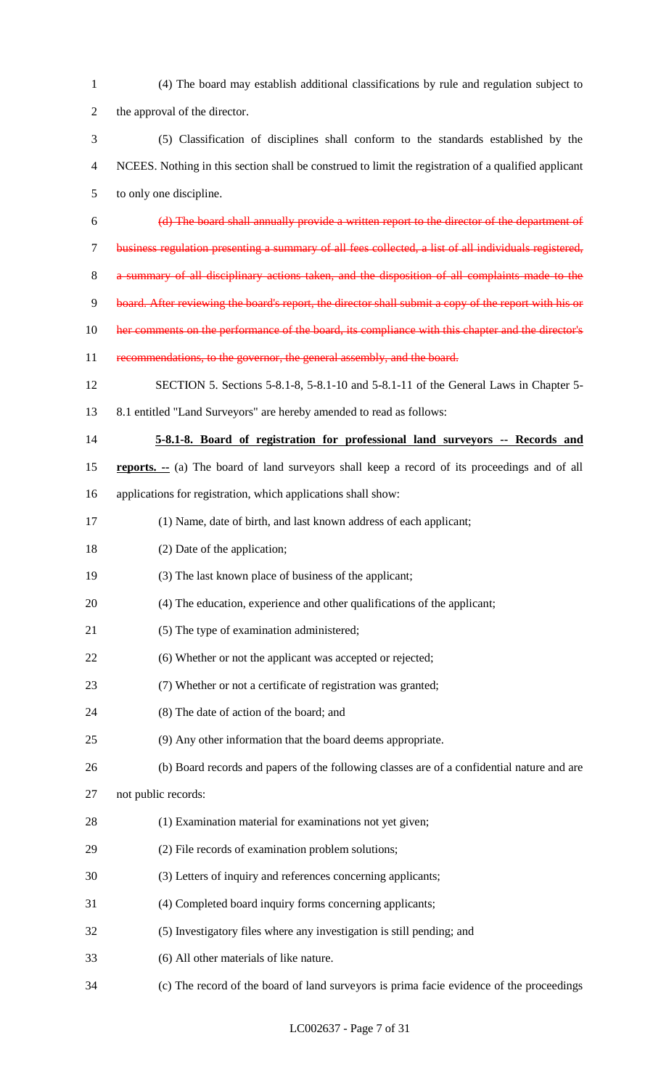| $\mathbf{1}$   | (4) The board may establish additional classifications by rule and regulation subject to              |
|----------------|-------------------------------------------------------------------------------------------------------|
| $\overline{2}$ | the approval of the director.                                                                         |
| 3              | (5) Classification of disciplines shall conform to the standards established by the                   |
| $\overline{4}$ | NCEES. Nothing in this section shall be construed to limit the registration of a qualified applicant  |
| $\mathfrak{S}$ | to only one discipline.                                                                               |
| 6              | (d) The board shall annually provide a written report to the director of the department of            |
| $\tau$         | business regulation presenting a summary of all fees collected, a list of all individuals registered, |
| 8              | a summary of all disciplinary actions taken, and the disposition of all complaints made to the        |
| 9              | board. After reviewing the board's report, the director shall submit a copy of the report with his or |
| 10             | her comments on the performance of the board, its compliance with this chapter and the director's     |
| 11             | recommendations, to the governor, the general assembly, and the board.                                |
| 12             | SECTION 5. Sections 5-8.1-8, 5-8.1-10 and 5-8.1-11 of the General Laws in Chapter 5-                  |
| 13             | 8.1 entitled "Land Surveyors" are hereby amended to read as follows:                                  |
| 14             | 5-8.1-8. Board of registration for professional land surveyors -- Records and                         |
| 15             | <b>reports.</b> -- (a) The board of land surveyors shall keep a record of its proceedings and of all  |
| 16             | applications for registration, which applications shall show:                                         |
| 17             | (1) Name, date of birth, and last known address of each applicant;                                    |
| 18             | (2) Date of the application;                                                                          |
| 19             | (3) The last known place of business of the applicant;                                                |
| 20             | (4) The education, experience and other qualifications of the applicant;                              |
| 21             | (5) The type of examination administered;                                                             |
| 22             | (6) Whether or not the applicant was accepted or rejected;                                            |
| 23             | (7) Whether or not a certificate of registration was granted;                                         |
| 24             | (8) The date of action of the board; and                                                              |
| 25             | (9) Any other information that the board deems appropriate.                                           |
| 26             | (b) Board records and papers of the following classes are of a confidential nature and are            |
| 27             | not public records:                                                                                   |
| 28             | (1) Examination material for examinations not yet given;                                              |
| 29             | (2) File records of examination problem solutions;                                                    |
| 30             | (3) Letters of inquiry and references concerning applicants;                                          |
| 31             | (4) Completed board inquiry forms concerning applicants;                                              |
| 32             | (5) Investigatory files where any investigation is still pending; and                                 |
| 33             | (6) All other materials of like nature.                                                               |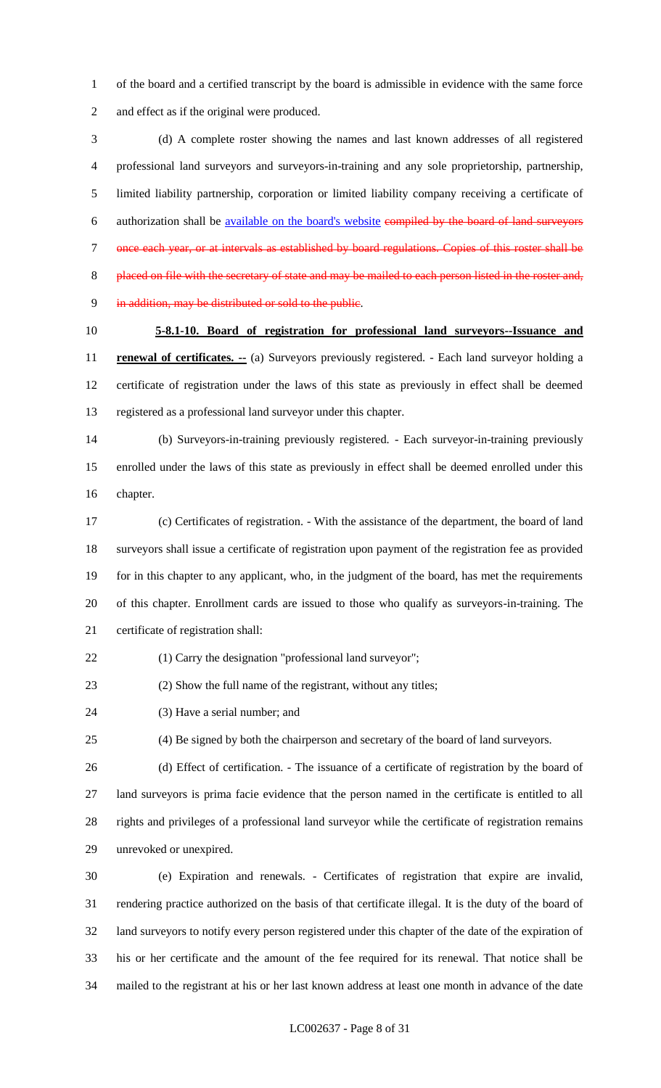of the board and a certified transcript by the board is admissible in evidence with the same force and effect as if the original were produced.

 (d) A complete roster showing the names and last known addresses of all registered professional land surveyors and surveyors-in-training and any sole proprietorship, partnership, limited liability partnership, corporation or limited liability company receiving a certificate of authorization shall be available on the board's website compiled by the board of land surveyors once each year, or at intervals as established by board regulations. Copies of this roster shall be 8 placed on file with the secretary of state and may be mailed to each person listed in the roster and, in addition, may be distributed or sold to the public.

# **5-8.1-10. Board of registration for professional land surveyors--Issuance and**

**renewal of certificates.** -- (a) Surveyors previously registered. - Each land surveyor holding a certificate of registration under the laws of this state as previously in effect shall be deemed registered as a professional land surveyor under this chapter.

 (b) Surveyors-in-training previously registered. - Each surveyor-in-training previously enrolled under the laws of this state as previously in effect shall be deemed enrolled under this chapter.

 (c) Certificates of registration. - With the assistance of the department, the board of land surveyors shall issue a certificate of registration upon payment of the registration fee as provided for in this chapter to any applicant, who, in the judgment of the board, has met the requirements of this chapter. Enrollment cards are issued to those who qualify as surveyors-in-training. The certificate of registration shall:

(1) Carry the designation "professional land surveyor";

(2) Show the full name of the registrant, without any titles;

(3) Have a serial number; and

(4) Be signed by both the chairperson and secretary of the board of land surveyors.

 (d) Effect of certification. - The issuance of a certificate of registration by the board of land surveyors is prima facie evidence that the person named in the certificate is entitled to all rights and privileges of a professional land surveyor while the certificate of registration remains unrevoked or unexpired.

 (e) Expiration and renewals. - Certificates of registration that expire are invalid, rendering practice authorized on the basis of that certificate illegal. It is the duty of the board of land surveyors to notify every person registered under this chapter of the date of the expiration of his or her certificate and the amount of the fee required for its renewal. That notice shall be mailed to the registrant at his or her last known address at least one month in advance of the date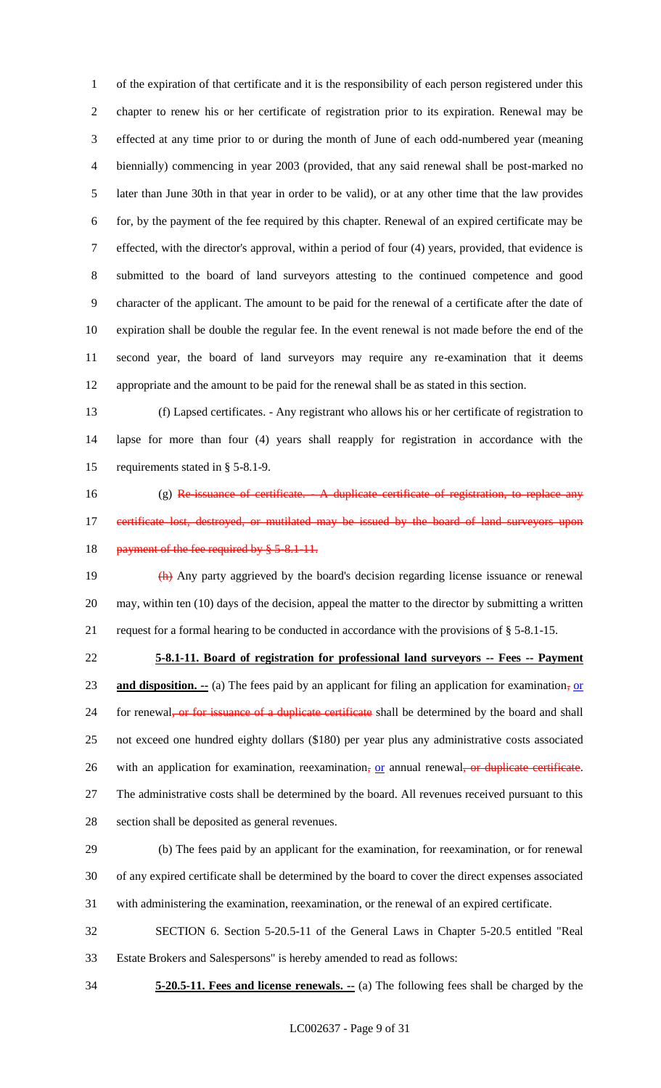of the expiration of that certificate and it is the responsibility of each person registered under this chapter to renew his or her certificate of registration prior to its expiration. Renewal may be effected at any time prior to or during the month of June of each odd-numbered year (meaning biennially) commencing in year 2003 (provided, that any said renewal shall be post-marked no later than June 30th in that year in order to be valid), or at any other time that the law provides for, by the payment of the fee required by this chapter. Renewal of an expired certificate may be effected, with the director's approval, within a period of four (4) years, provided, that evidence is submitted to the board of land surveyors attesting to the continued competence and good character of the applicant. The amount to be paid for the renewal of a certificate after the date of expiration shall be double the regular fee. In the event renewal is not made before the end of the second year, the board of land surveyors may require any re-examination that it deems appropriate and the amount to be paid for the renewal shall be as stated in this section.

 (f) Lapsed certificates. - Any registrant who allows his or her certificate of registration to lapse for more than four (4) years shall reapply for registration in accordance with the requirements stated in § 5-8.1-9.

16 (g) Re-issuance of certificate. A duplicate certificate of registration, to replace any 17 certificate lost, destroyed, or mutilated may be issued by the board of land surveyors upon 18 payment of the fee required by § 5-8.1-11.

19 (h) Any party aggrieved by the board's decision regarding license issuance or renewal may, within ten (10) days of the decision, appeal the matter to the director by submitting a written request for a formal hearing to be conducted in accordance with the provisions of § 5-8.1-15.

 **5-8.1-11. Board of registration for professional land surveyors -- Fees -- Payment and disposition.** -- (a) The fees paid by an applicant for filing an application for examination, or 24 for renewal<del>, or for issuance of a duplicate certificate</del> shall be determined by the board and shall not exceed one hundred eighty dollars (\$180) per year plus any administrative costs associated 26 with an application for examination, reexamination, or annual renewal, or duplicate certificate. The administrative costs shall be determined by the board. All revenues received pursuant to this section shall be deposited as general revenues.

 (b) The fees paid by an applicant for the examination, for reexamination, or for renewal of any expired certificate shall be determined by the board to cover the direct expenses associated with administering the examination, reexamination, or the renewal of an expired certificate.

 SECTION 6. Section 5-20.5-11 of the General Laws in Chapter 5-20.5 entitled "Real Estate Brokers and Salespersons" is hereby amended to read as follows:

**5-20.5-11. Fees and license renewals. --** (a) The following fees shall be charged by the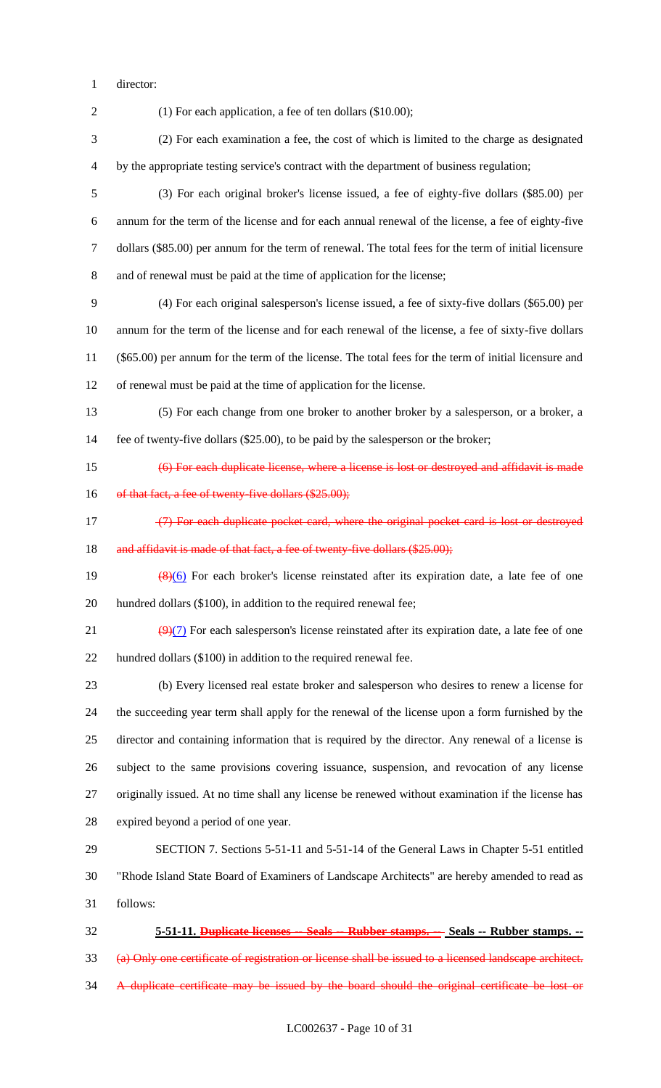director:

(1) For each application, a fee of ten dollars (\$10.00);

 (2) For each examination a fee, the cost of which is limited to the charge as designated by the appropriate testing service's contract with the department of business regulation;

 (3) For each original broker's license issued, a fee of eighty-five dollars (\$85.00) per annum for the term of the license and for each annual renewal of the license, a fee of eighty-five dollars (\$85.00) per annum for the term of renewal. The total fees for the term of initial licensure and of renewal must be paid at the time of application for the license;

 (4) For each original salesperson's license issued, a fee of sixty-five dollars (\$65.00) per annum for the term of the license and for each renewal of the license, a fee of sixty-five dollars (\$65.00) per annum for the term of the license. The total fees for the term of initial licensure and of renewal must be paid at the time of application for the license.

 (5) For each change from one broker to another broker by a salesperson, or a broker, a fee of twenty-five dollars (\$25.00), to be paid by the salesperson or the broker;

(6) For each duplicate license, where a license is lost or destroyed and affidavit is made

16 of that fact, a fee of twenty-five dollars (\$25.00);

17 (7) For each duplicate pocket card, where the original pocket card is lost or destroyed 18 and affidavit is made of that fact, a fee of twenty-five dollars (\$25.00);

19  $\left(\frac{8}{6}\right)$  For each broker's license reinstated after its expiration date, a late fee of one 20 hundred dollars (\$100), in addition to the required renewal fee;

21  $(9)(7)$  For each salesperson's license reinstated after its expiration date, a late fee of one hundred dollars (\$100) in addition to the required renewal fee.

 (b) Every licensed real estate broker and salesperson who desires to renew a license for the succeeding year term shall apply for the renewal of the license upon a form furnished by the director and containing information that is required by the director. Any renewal of a license is subject to the same provisions covering issuance, suspension, and revocation of any license originally issued. At no time shall any license be renewed without examination if the license has expired beyond a period of one year.

 SECTION 7. Sections 5-51-11 and 5-51-14 of the General Laws in Chapter 5-51 entitled "Rhode Island State Board of Examiners of Landscape Architects" are hereby amended to read as follows:

 **5-51-11. Duplicate licenses -- Seals -- Rubber stamps. -- Seals -- Rubber stamps. --** (a) Only one certificate of registration or license shall be issued to a licensed landscape architect. A duplicate certificate may be issued by the board should the original certificate be lost or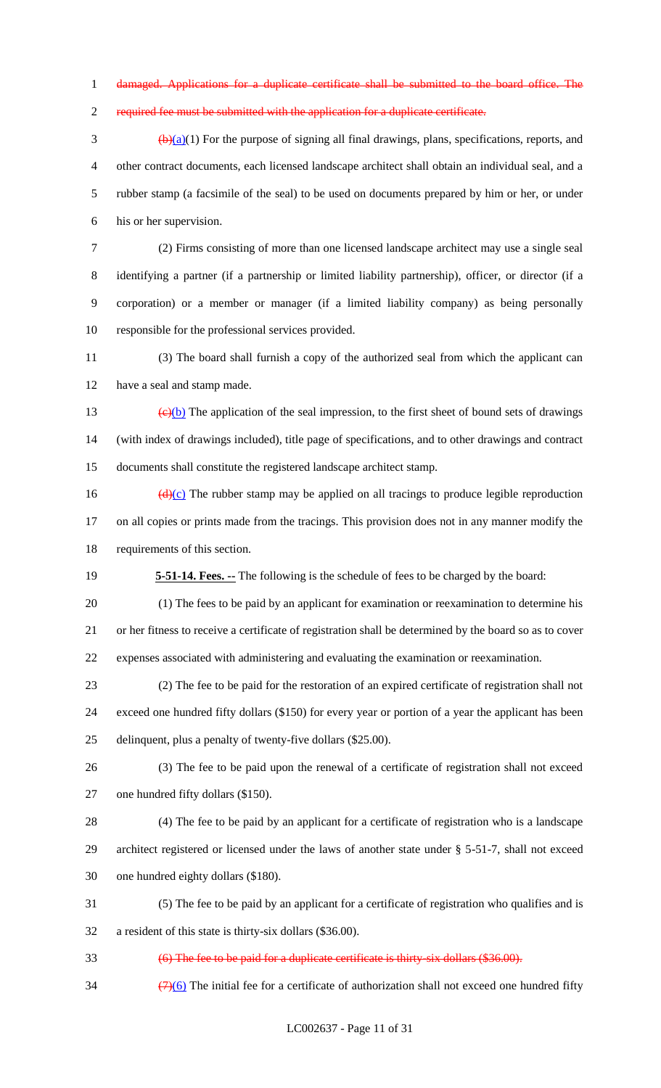damaged. Applications for a duplicate certificate shall be submitted to the board office. The

required fee must be submitted with the application for a duplicate certificate.

 $\frac{(\mathbf{b})(\mathbf{a})}{(1)}$  For the purpose of signing all final drawings, plans, specifications, reports, and other contract documents, each licensed landscape architect shall obtain an individual seal, and a rubber stamp (a facsimile of the seal) to be used on documents prepared by him or her, or under his or her supervision.

 (2) Firms consisting of more than one licensed landscape architect may use a single seal identifying a partner (if a partnership or limited liability partnership), officer, or director (if a corporation) or a member or manager (if a limited liability company) as being personally responsible for the professional services provided.

 (3) The board shall furnish a copy of the authorized seal from which the applicant can have a seal and stamp made.

13  $\left(\frac{e}{b}\right)$  The application of the seal impression, to the first sheet of bound sets of drawings (with index of drawings included), title page of specifications, and to other drawings and contract documents shall constitute the registered landscape architect stamp.

16  $(d)(c)$  The rubber stamp may be applied on all tracings to produce legible reproduction on all copies or prints made from the tracings. This provision does not in any manner modify the requirements of this section.

**5-51-14. Fees. --** The following is the schedule of fees to be charged by the board:

 (1) The fees to be paid by an applicant for examination or reexamination to determine his or her fitness to receive a certificate of registration shall be determined by the board so as to cover expenses associated with administering and evaluating the examination or reexamination.

 (2) The fee to be paid for the restoration of an expired certificate of registration shall not exceed one hundred fifty dollars (\$150) for every year or portion of a year the applicant has been

delinquent, plus a penalty of twenty-five dollars (\$25.00).

 (3) The fee to be paid upon the renewal of a certificate of registration shall not exceed one hundred fifty dollars (\$150).

 (4) The fee to be paid by an applicant for a certificate of registration who is a landscape architect registered or licensed under the laws of another state under § 5-51-7, shall not exceed one hundred eighty dollars (\$180).

 (5) The fee to be paid by an applicant for a certificate of registration who qualifies and is a resident of this state is thirty-six dollars (\$36.00).

(6) The fee to be paid for a duplicate certificate is thirty-six dollars (\$36.00).

 $\frac{(7)(6)}{11}$  The initial fee for a certificate of authorization shall not exceed one hundred fifty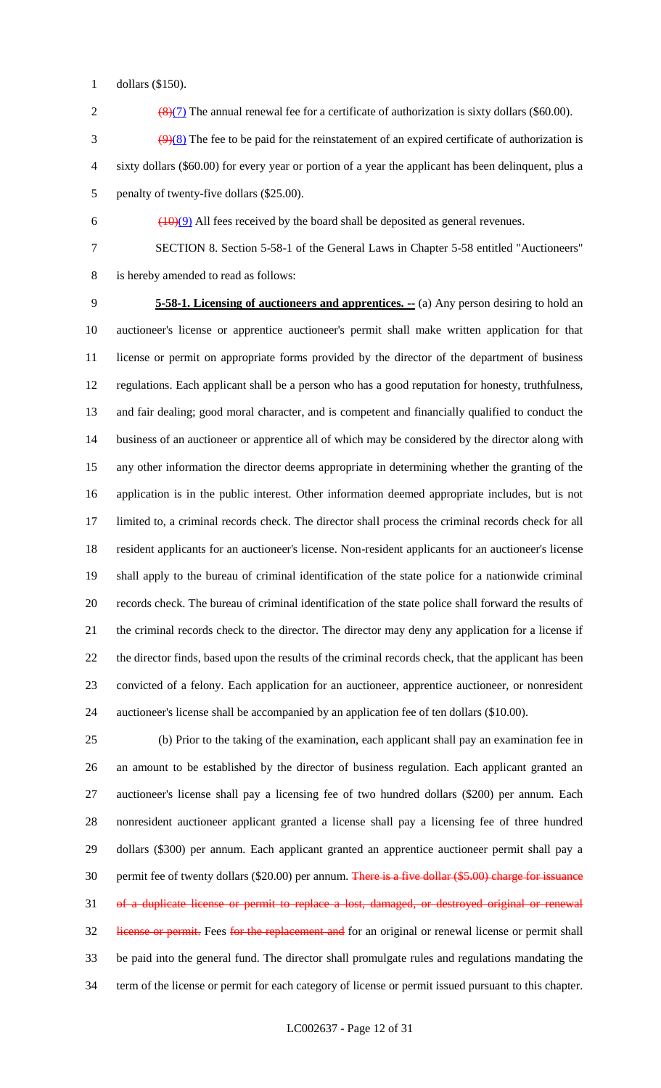dollars (\$150).

2  $\frac{8(7)}{8}$  The annual renewal fee for a certificate of authorization is sixty dollars (\$60.00).

 $\frac{9(8)}{2}$  The fee to be paid for the reinstatement of an expired certificate of authorization is sixty dollars (\$60.00) for every year or portion of a year the applicant has been delinquent, plus a penalty of twenty-five dollars (\$25.00).

6  $(10)(9)$  All fees received by the board shall be deposited as general revenues.

SECTION 8. Section 5-58-1 of the General Laws in Chapter 5-58 entitled "Auctioneers"

is hereby amended to read as follows:

 **5-58-1. Licensing of auctioneers and apprentices. --** (a) Any person desiring to hold an auctioneer's license or apprentice auctioneer's permit shall make written application for that license or permit on appropriate forms provided by the director of the department of business regulations. Each applicant shall be a person who has a good reputation for honesty, truthfulness, and fair dealing; good moral character, and is competent and financially qualified to conduct the business of an auctioneer or apprentice all of which may be considered by the director along with any other information the director deems appropriate in determining whether the granting of the application is in the public interest. Other information deemed appropriate includes, but is not limited to, a criminal records check. The director shall process the criminal records check for all resident applicants for an auctioneer's license. Non-resident applicants for an auctioneer's license shall apply to the bureau of criminal identification of the state police for a nationwide criminal records check. The bureau of criminal identification of the state police shall forward the results of the criminal records check to the director. The director may deny any application for a license if the director finds, based upon the results of the criminal records check, that the applicant has been convicted of a felony. Each application for an auctioneer, apprentice auctioneer, or nonresident auctioneer's license shall be accompanied by an application fee of ten dollars (\$10.00).

 (b) Prior to the taking of the examination, each applicant shall pay an examination fee in an amount to be established by the director of business regulation. Each applicant granted an auctioneer's license shall pay a licensing fee of two hundred dollars (\$200) per annum. Each nonresident auctioneer applicant granted a license shall pay a licensing fee of three hundred dollars (\$300) per annum. Each applicant granted an apprentice auctioneer permit shall pay a 30 permit fee of twenty dollars (\$20.00) per annum. There is a five dollar (\$5.00) charge for issuance of a duplicate license or permit to replace a lost, damaged, or destroyed original or renewal 32 license or permit. Fees for the replacement and for an original or renewal license or permit shall be paid into the general fund. The director shall promulgate rules and regulations mandating the term of the license or permit for each category of license or permit issued pursuant to this chapter.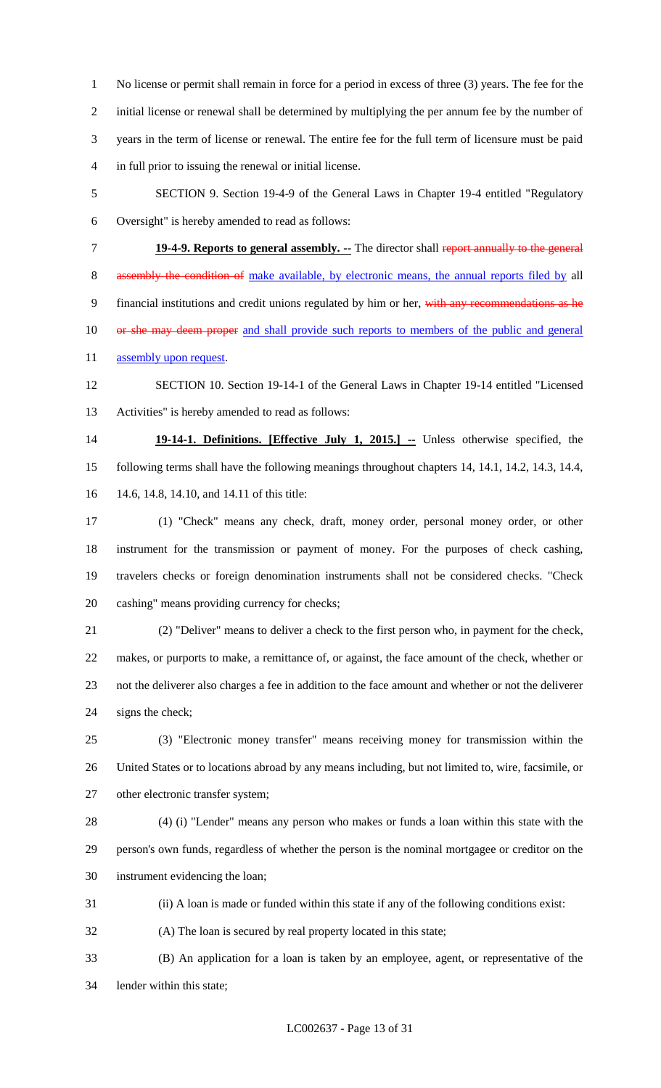No license or permit shall remain in force for a period in excess of three (3) years. The fee for the initial license or renewal shall be determined by multiplying the per annum fee by the number of years in the term of license or renewal. The entire fee for the full term of licensure must be paid in full prior to issuing the renewal or initial license.

- SECTION 9. Section 19-4-9 of the General Laws in Chapter 19-4 entitled "Regulatory
- Oversight" is hereby amended to read as follows:
- 

**19-4-9. Reports to general assembly. --** The director shall report annually to the general

8 assembly the condition of make available, by electronic means, the annual reports filed by all

9 financial institutions and credit unions regulated by him or her, with any recommendations as he

- 10 or she may deem proper and shall provide such reports to members of the public and general
- 11 assembly upon request.
- SECTION 10. Section 19-14-1 of the General Laws in Chapter 19-14 entitled "Licensed Activities" is hereby amended to read as follows:

 **19-14-1. Definitions. [Effective July 1, 2015.] --** Unless otherwise specified, the following terms shall have the following meanings throughout chapters 14, 14.1, 14.2, 14.3, 14.4, 14.6, 14.8, 14.10, and 14.11 of this title:

 (1) "Check" means any check, draft, money order, personal money order, or other instrument for the transmission or payment of money. For the purposes of check cashing, travelers checks or foreign denomination instruments shall not be considered checks. "Check cashing" means providing currency for checks;

 (2) "Deliver" means to deliver a check to the first person who, in payment for the check, makes, or purports to make, a remittance of, or against, the face amount of the check, whether or not the deliverer also charges a fee in addition to the face amount and whether or not the deliverer signs the check;

 (3) "Electronic money transfer" means receiving money for transmission within the United States or to locations abroad by any means including, but not limited to, wire, facsimile, or 27 other electronic transfer system;

 (4) (i) "Lender" means any person who makes or funds a loan within this state with the person's own funds, regardless of whether the person is the nominal mortgagee or creditor on the instrument evidencing the loan;

- (ii) A loan is made or funded within this state if any of the following conditions exist:
- (A) The loan is secured by real property located in this state;
- (B) An application for a loan is taken by an employee, agent, or representative of the lender within this state;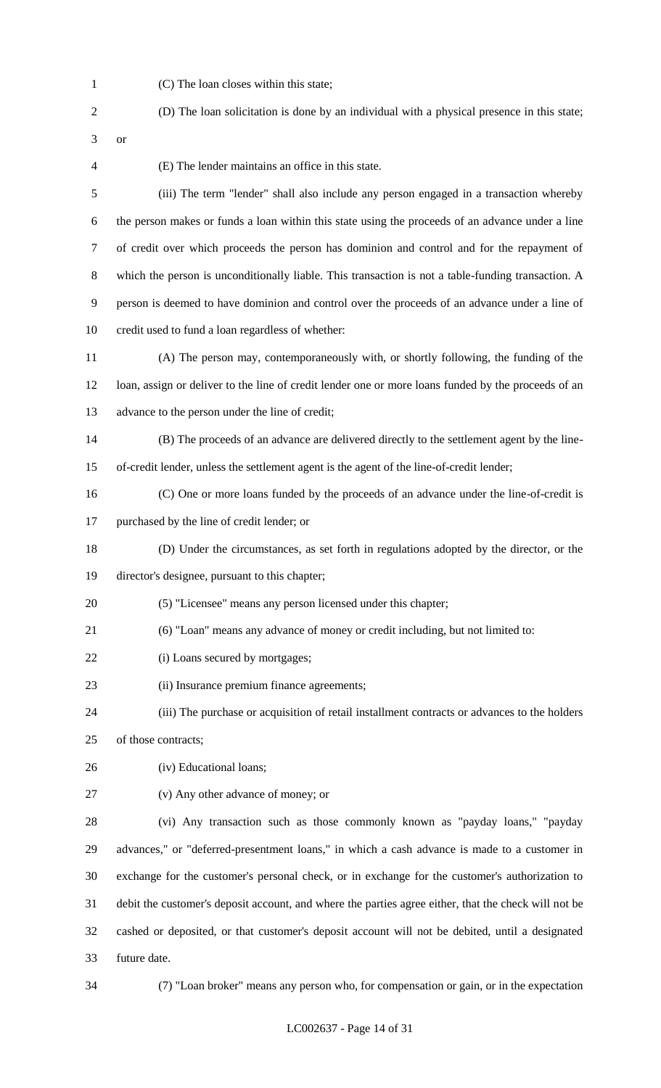(C) The loan closes within this state;

|  | (D) The loan solicitation is done by an individual with a physical presence in this state; |
|--|--------------------------------------------------------------------------------------------|
|  |                                                                                            |

(E) The lender maintains an office in this state.

 (iii) The term "lender" shall also include any person engaged in a transaction whereby the person makes or funds a loan within this state using the proceeds of an advance under a line of credit over which proceeds the person has dominion and control and for the repayment of which the person is unconditionally liable. This transaction is not a table-funding transaction. A person is deemed to have dominion and control over the proceeds of an advance under a line of credit used to fund a loan regardless of whether:

 (A) The person may, contemporaneously with, or shortly following, the funding of the loan, assign or deliver to the line of credit lender one or more loans funded by the proceeds of an advance to the person under the line of credit;

 (B) The proceeds of an advance are delivered directly to the settlement agent by the line-of-credit lender, unless the settlement agent is the agent of the line-of-credit lender;

(C) One or more loans funded by the proceeds of an advance under the line-of-credit is

purchased by the line of credit lender; or

(D) Under the circumstances, as set forth in regulations adopted by the director, or the

director's designee, pursuant to this chapter;

- (5) "Licensee" means any person licensed under this chapter;
- (6) "Loan" means any advance of money or credit including, but not limited to:
- 22 (i) Loans secured by mortgages;
- (ii) Insurance premium finance agreements;
- (iii) The purchase or acquisition of retail installment contracts or advances to the holders

of those contracts;

- (iv) Educational loans;
- (v) Any other advance of money; or

 (vi) Any transaction such as those commonly known as "payday loans," "payday advances," or "deferred-presentment loans," in which a cash advance is made to a customer in exchange for the customer's personal check, or in exchange for the customer's authorization to debit the customer's deposit account, and where the parties agree either, that the check will not be cashed or deposited, or that customer's deposit account will not be debited, until a designated future date.

(7) "Loan broker" means any person who, for compensation or gain, or in the expectation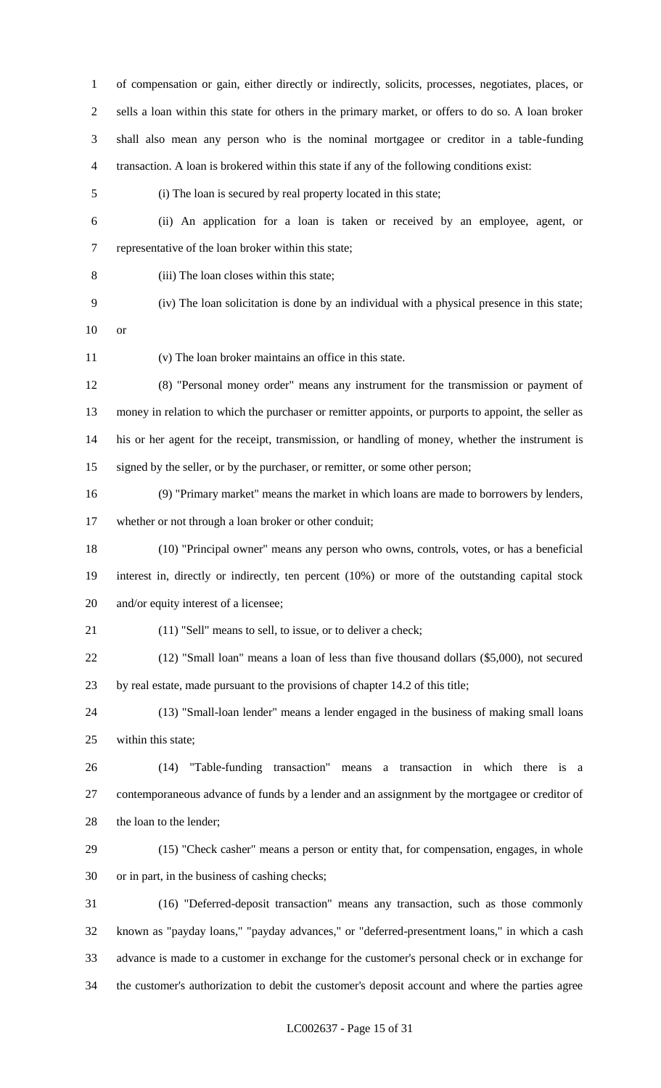of compensation or gain, either directly or indirectly, solicits, processes, negotiates, places, or sells a loan within this state for others in the primary market, or offers to do so. A loan broker shall also mean any person who is the nominal mortgagee or creditor in a table-funding transaction. A loan is brokered within this state if any of the following conditions exist:

(i) The loan is secured by real property located in this state;

- (ii) An application for a loan is taken or received by an employee, agent, or representative of the loan broker within this state;
- 

(iii) The loan closes within this state;

- (iv) The loan solicitation is done by an individual with a physical presence in this state;
- or

(v) The loan broker maintains an office in this state.

 (8) "Personal money order" means any instrument for the transmission or payment of money in relation to which the purchaser or remitter appoints, or purports to appoint, the seller as his or her agent for the receipt, transmission, or handling of money, whether the instrument is signed by the seller, or by the purchaser, or remitter, or some other person;

 (9) "Primary market" means the market in which loans are made to borrowers by lenders, whether or not through a loan broker or other conduit;

 (10) "Principal owner" means any person who owns, controls, votes, or has a beneficial interest in, directly or indirectly, ten percent (10%) or more of the outstanding capital stock and/or equity interest of a licensee;

- 21 (11) "Sell" means to sell, to issue, or to deliver a check;
- (12) "Small loan" means a loan of less than five thousand dollars (\$5,000), not secured by real estate, made pursuant to the provisions of chapter 14.2 of this title;

 (13) "Small-loan lender" means a lender engaged in the business of making small loans within this state;

 (14) "Table-funding transaction" means a transaction in which there is a contemporaneous advance of funds by a lender and an assignment by the mortgagee or creditor of 28 the loan to the lender;

- (15) "Check casher" means a person or entity that, for compensation, engages, in whole or in part, in the business of cashing checks;
- (16) "Deferred-deposit transaction" means any transaction, such as those commonly known as "payday loans," "payday advances," or "deferred-presentment loans," in which a cash advance is made to a customer in exchange for the customer's personal check or in exchange for the customer's authorization to debit the customer's deposit account and where the parties agree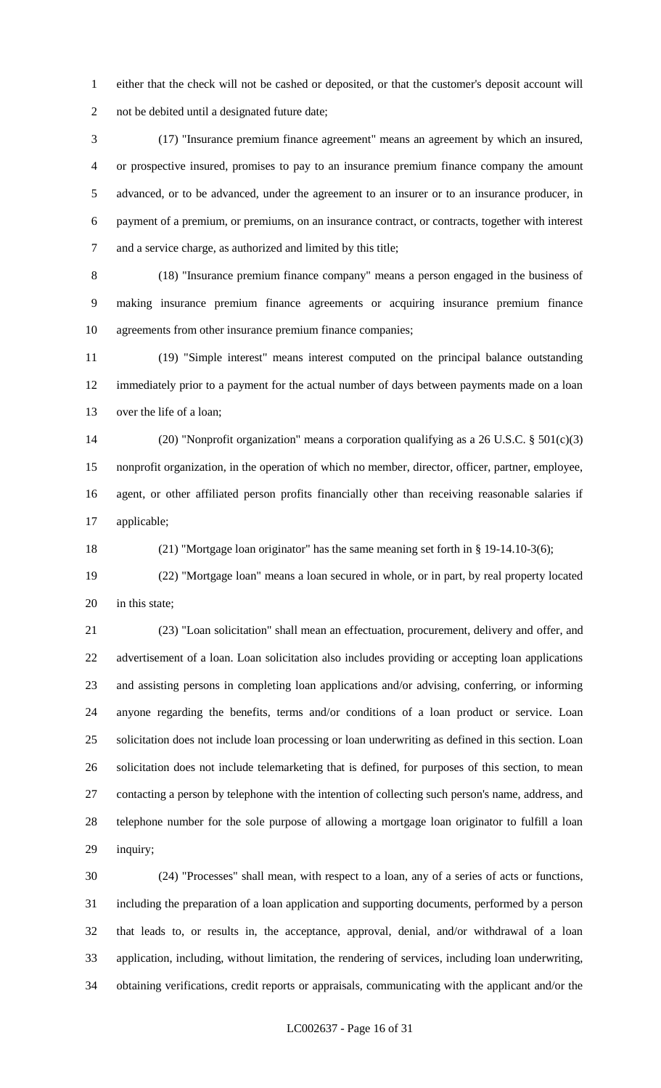either that the check will not be cashed or deposited, or that the customer's deposit account will not be debited until a designated future date;

 (17) "Insurance premium finance agreement" means an agreement by which an insured, or prospective insured, promises to pay to an insurance premium finance company the amount advanced, or to be advanced, under the agreement to an insurer or to an insurance producer, in payment of a premium, or premiums, on an insurance contract, or contracts, together with interest and a service charge, as authorized and limited by this title;

 (18) "Insurance premium finance company" means a person engaged in the business of making insurance premium finance agreements or acquiring insurance premium finance agreements from other insurance premium finance companies;

 (19) "Simple interest" means interest computed on the principal balance outstanding immediately prior to a payment for the actual number of days between payments made on a loan over the life of a loan;

 (20) "Nonprofit organization" means a corporation qualifying as a 26 U.S.C. § 501(c)(3) nonprofit organization, in the operation of which no member, director, officer, partner, employee, agent, or other affiliated person profits financially other than receiving reasonable salaries if applicable;

(21) "Mortgage loan originator" has the same meaning set forth in § 19-14.10-3(6);

 (22) "Mortgage loan" means a loan secured in whole, or in part, by real property located 20 in this state;

 (23) "Loan solicitation" shall mean an effectuation, procurement, delivery and offer, and advertisement of a loan. Loan solicitation also includes providing or accepting loan applications and assisting persons in completing loan applications and/or advising, conferring, or informing anyone regarding the benefits, terms and/or conditions of a loan product or service. Loan solicitation does not include loan processing or loan underwriting as defined in this section. Loan solicitation does not include telemarketing that is defined, for purposes of this section, to mean contacting a person by telephone with the intention of collecting such person's name, address, and telephone number for the sole purpose of allowing a mortgage loan originator to fulfill a loan inquiry;

 (24) "Processes" shall mean, with respect to a loan, any of a series of acts or functions, including the preparation of a loan application and supporting documents, performed by a person that leads to, or results in, the acceptance, approval, denial, and/or withdrawal of a loan application, including, without limitation, the rendering of services, including loan underwriting, obtaining verifications, credit reports or appraisals, communicating with the applicant and/or the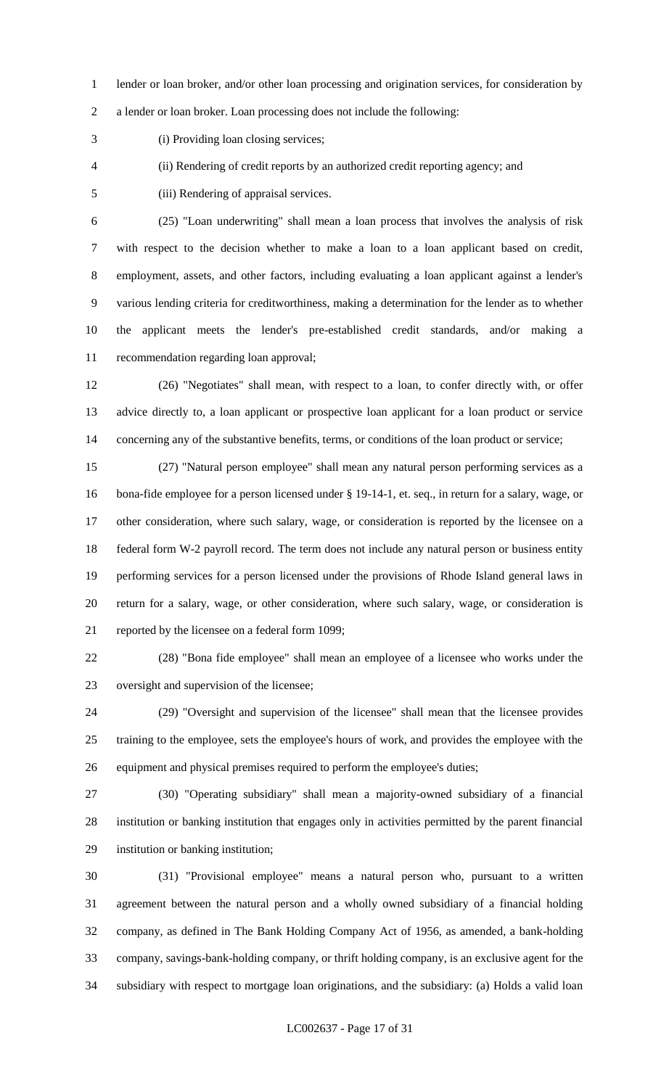lender or loan broker, and/or other loan processing and origination services, for consideration by

a lender or loan broker. Loan processing does not include the following:

(i) Providing loan closing services;

(ii) Rendering of credit reports by an authorized credit reporting agency; and

(iii) Rendering of appraisal services.

 (25) "Loan underwriting" shall mean a loan process that involves the analysis of risk with respect to the decision whether to make a loan to a loan applicant based on credit, employment, assets, and other factors, including evaluating a loan applicant against a lender's various lending criteria for creditworthiness, making a determination for the lender as to whether the applicant meets the lender's pre-established credit standards, and/or making a recommendation regarding loan approval;

 (26) "Negotiates" shall mean, with respect to a loan, to confer directly with, or offer advice directly to, a loan applicant or prospective loan applicant for a loan product or service 14 concerning any of the substantive benefits, terms, or conditions of the loan product or service;

 (27) "Natural person employee" shall mean any natural person performing services as a bona-fide employee for a person licensed under § 19-14-1, et. seq., in return for a salary, wage, or other consideration, where such salary, wage, or consideration is reported by the licensee on a federal form W-2 payroll record. The term does not include any natural person or business entity performing services for a person licensed under the provisions of Rhode Island general laws in return for a salary, wage, or other consideration, where such salary, wage, or consideration is reported by the licensee on a federal form 1099;

 (28) "Bona fide employee" shall mean an employee of a licensee who works under the oversight and supervision of the licensee;

 (29) "Oversight and supervision of the licensee" shall mean that the licensee provides training to the employee, sets the employee's hours of work, and provides the employee with the equipment and physical premises required to perform the employee's duties;

 (30) "Operating subsidiary" shall mean a majority-owned subsidiary of a financial institution or banking institution that engages only in activities permitted by the parent financial institution or banking institution;

 (31) "Provisional employee" means a natural person who, pursuant to a written agreement between the natural person and a wholly owned subsidiary of a financial holding company, as defined in The Bank Holding Company Act of 1956, as amended, a bank-holding company, savings-bank-holding company, or thrift holding company, is an exclusive agent for the subsidiary with respect to mortgage loan originations, and the subsidiary: (a) Holds a valid loan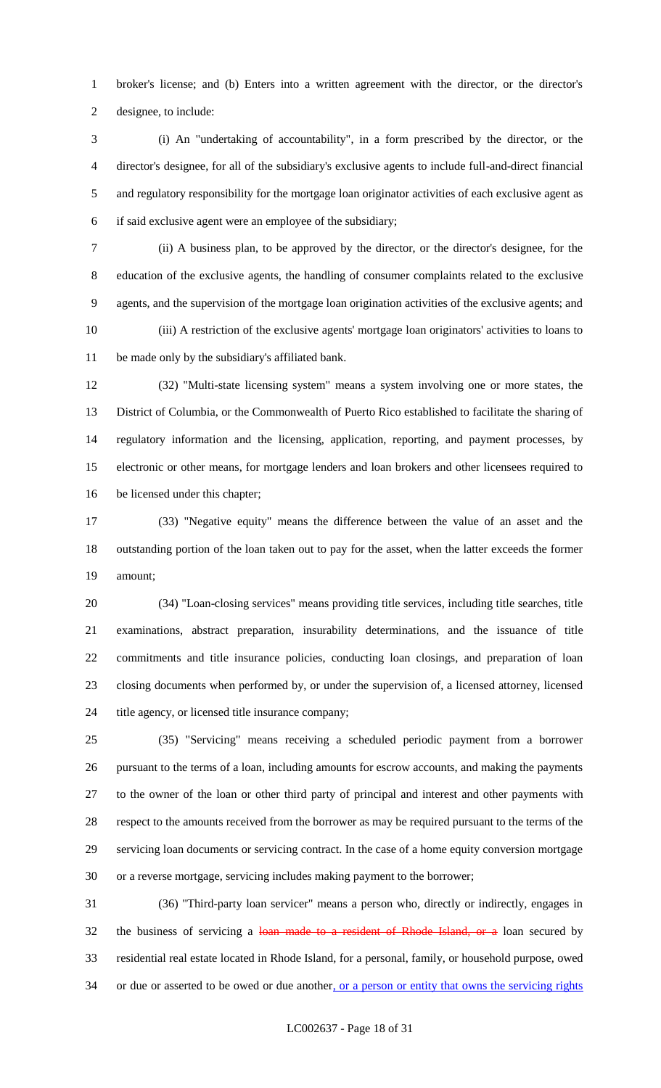broker's license; and (b) Enters into a written agreement with the director, or the director's designee, to include:

 (i) An "undertaking of accountability", in a form prescribed by the director, or the director's designee, for all of the subsidiary's exclusive agents to include full-and-direct financial and regulatory responsibility for the mortgage loan originator activities of each exclusive agent as if said exclusive agent were an employee of the subsidiary;

 (ii) A business plan, to be approved by the director, or the director's designee, for the education of the exclusive agents, the handling of consumer complaints related to the exclusive agents, and the supervision of the mortgage loan origination activities of the exclusive agents; and (iii) A restriction of the exclusive agents' mortgage loan originators' activities to loans to be made only by the subsidiary's affiliated bank.

 (32) "Multi-state licensing system" means a system involving one or more states, the District of Columbia, or the Commonwealth of Puerto Rico established to facilitate the sharing of regulatory information and the licensing, application, reporting, and payment processes, by electronic or other means, for mortgage lenders and loan brokers and other licensees required to be licensed under this chapter;

 (33) "Negative equity" means the difference between the value of an asset and the outstanding portion of the loan taken out to pay for the asset, when the latter exceeds the former amount;

 (34) "Loan-closing services" means providing title services, including title searches, title examinations, abstract preparation, insurability determinations, and the issuance of title commitments and title insurance policies, conducting loan closings, and preparation of loan closing documents when performed by, or under the supervision of, a licensed attorney, licensed title agency, or licensed title insurance company;

 (35) "Servicing" means receiving a scheduled periodic payment from a borrower pursuant to the terms of a loan, including amounts for escrow accounts, and making the payments to the owner of the loan or other third party of principal and interest and other payments with respect to the amounts received from the borrower as may be required pursuant to the terms of the servicing loan documents or servicing contract. In the case of a home equity conversion mortgage or a reverse mortgage, servicing includes making payment to the borrower;

 (36) "Third-party loan servicer" means a person who, directly or indirectly, engages in 32 the business of servicing a loan made to a resident of Rhode Island, or a loan secured by residential real estate located in Rhode Island, for a personal, family, or household purpose, owed 34 or due or asserted to be owed or due another, or a person or entity that owns the servicing rights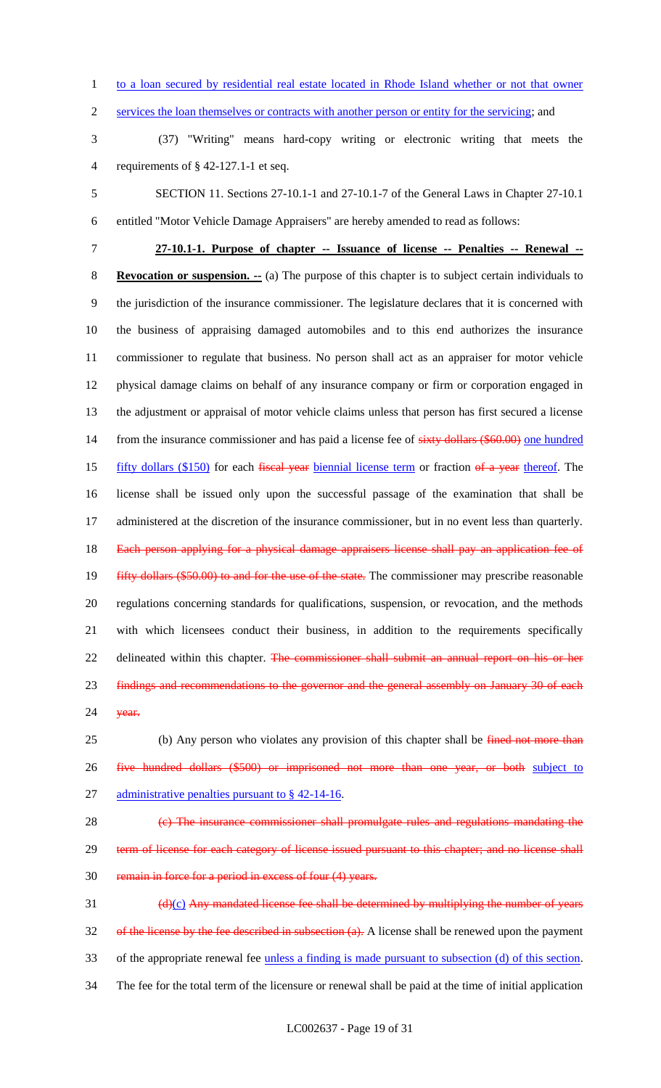1 to a loan secured by residential real estate located in Rhode Island whether or not that owner

2 services the loan themselves or contracts with another person or entity for the servicing; and

3 (37) "Writing" means hard-copy writing or electronic writing that meets the 4 requirements of § 42-127.1-1 et seq.

5 SECTION 11. Sections 27-10.1-1 and 27-10.1-7 of the General Laws in Chapter 27-10.1 6 entitled "Motor Vehicle Damage Appraisers" are hereby amended to read as follows:

 **27-10.1-1. Purpose of chapter -- Issuance of license -- Penalties -- Renewal -- Revocation or suspension. --** (a) The purpose of this chapter is to subject certain individuals to the jurisdiction of the insurance commissioner. The legislature declares that it is concerned with the business of appraising damaged automobiles and to this end authorizes the insurance commissioner to regulate that business. No person shall act as an appraiser for motor vehicle physical damage claims on behalf of any insurance company or firm or corporation engaged in the adjustment or appraisal of motor vehicle claims unless that person has first secured a license 14 from the insurance commissioner and has paid a license fee of sixty dollars (\$60.00) one hundred 15 fifty dollars (\$150) for each fiscal year biennial license term or fraction of a year thereof. The license shall be issued only upon the successful passage of the examination that shall be administered at the discretion of the insurance commissioner, but in no event less than quarterly. 18 Each person applying for a physical damage appraisers license shall pay an application fee of 19 fifty dollars (\$50.00) to and for the use of the state. The commissioner may prescribe reasonable regulations concerning standards for qualifications, suspension, or revocation, and the methods with which licensees conduct their business, in addition to the requirements specifically 22 delineated within this chapter. The commissioner shall submit an annual report on his or her 23 findings and recommendations to the governor and the general assembly on January 30 of each

24 **year.** 

25 (b) Any person who violates any provision of this chapter shall be fined not more than 26 five hundred dollars (\$500) or imprisoned not more than one year, or both subject to 27 administrative penalties pursuant to § 42-14-16.

28 (c) The insurance commissioner shall promulgate rules and regulations mandating the 29 term of license for each category of license issued pursuant to this chapter; and no license shall 30 remain in force for a period in excess of four (4) years.

 $\frac{d(x)}{dx}$  Any mandated license fee shall be determined by multiplying the number of years 32 of the license by the fee described in subsection (a). A license shall be renewed upon the payment 33 of the appropriate renewal fee unless a finding is made pursuant to subsection (d) of this section. 34 The fee for the total term of the licensure or renewal shall be paid at the time of initial application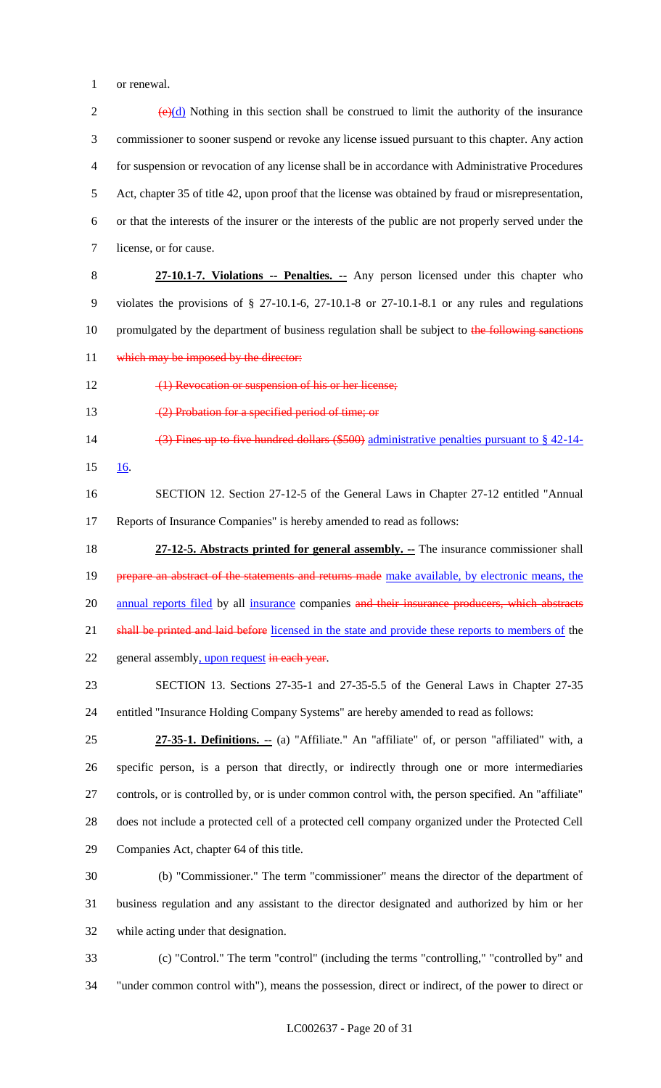or renewal.

 $(e)(d)$  Nothing in this section shall be construed to limit the authority of the insurance commissioner to sooner suspend or revoke any license issued pursuant to this chapter. Any action for suspension or revocation of any license shall be in accordance with Administrative Procedures Act, chapter 35 of title 42, upon proof that the license was obtained by fraud or misrepresentation, or that the interests of the insurer or the interests of the public are not properly served under the license, or for cause. **27-10.1-7. Violations -- Penalties. --** Any person licensed under this chapter who violates the provisions of § 27-10.1-6, 27-10.1-8 or 27-10.1-8.1 or any rules and regulations 10 promulgated by the department of business regulation shall be subject to the following sanctions 11 which may be imposed by the director: 12 (1) Revocation or suspension of his or her license; 13 (2) Probation for a specified period of time; or 14 (3) Fines up to five hundred dollars (\$500) administrative penalties pursuant to  $\S$  42-14- 16. SECTION 12. Section 27-12-5 of the General Laws in Chapter 27-12 entitled "Annual Reports of Insurance Companies" is hereby amended to read as follows: **27-12-5. Abstracts printed for general assembly. --** The insurance commissioner shall 19 prepare an abstract of the statements and returns made make available, by electronic means, the 20 annual reports filed by all insurance companies and their insurance producers, which abstracts 21 shall be printed and laid before licensed in the state and provide these reports to members of the 22 general assembly, upon request in each year. SECTION 13. Sections 27-35-1 and 27-35-5.5 of the General Laws in Chapter 27-35 entitled "Insurance Holding Company Systems" are hereby amended to read as follows: **27-35-1. Definitions. --** (a) "Affiliate." An "affiliate" of, or person "affiliated" with, a specific person, is a person that directly, or indirectly through one or more intermediaries controls, or is controlled by, or is under common control with, the person specified. An "affiliate" does not include a protected cell of a protected cell company organized under the Protected Cell Companies Act, chapter 64 of this title. (b) "Commissioner." The term "commissioner" means the director of the department of business regulation and any assistant to the director designated and authorized by him or her while acting under that designation. (c) "Control." The term "control" (including the terms "controlling," "controlled by" and

"under common control with"), means the possession, direct or indirect, of the power to direct or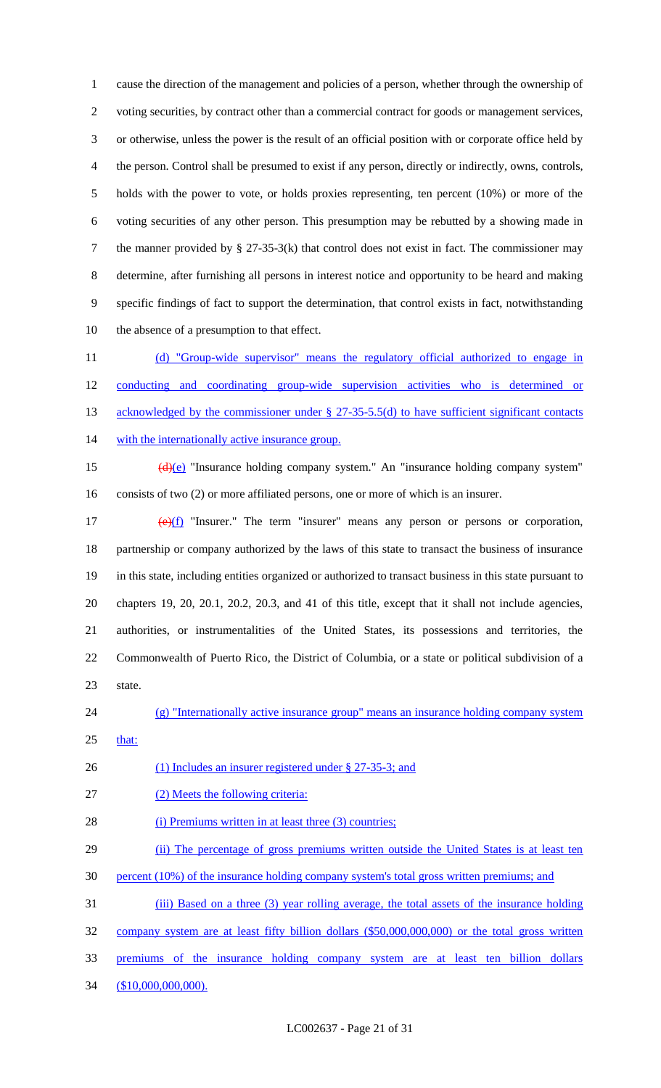cause the direction of the management and policies of a person, whether through the ownership of voting securities, by contract other than a commercial contract for goods or management services, or otherwise, unless the power is the result of an official position with or corporate office held by the person. Control shall be presumed to exist if any person, directly or indirectly, owns, controls, holds with the power to vote, or holds proxies representing, ten percent (10%) or more of the voting securities of any other person. This presumption may be rebutted by a showing made in the manner provided by § 27-35-3(k) that control does not exist in fact. The commissioner may determine, after furnishing all persons in interest notice and opportunity to be heard and making specific findings of fact to support the determination, that control exists in fact, notwithstanding the absence of a presumption to that effect.

 (d) "Group-wide supervisor" means the regulatory official authorized to engage in conducting and coordinating group-wide supervision activities who is determined or 13 acknowledged by the commissioner under § 27-35-5.5(d) to have sufficient significant contacts 14 with the internationally active insurance group.

15 (d)(e) "Insurance holding company system." An "insurance holding company system" consists of two (2) or more affiliated persons, one or more of which is an insurer.

 $(e)(f)$  "Insurer." The term "insurer" means any person or persons or corporation, partnership or company authorized by the laws of this state to transact the business of insurance in this state, including entities organized or authorized to transact business in this state pursuant to chapters 19, 20, 20.1, 20.2, 20.3, and 41 of this title, except that it shall not include agencies, authorities, or instrumentalities of the United States, its possessions and territories, the Commonwealth of Puerto Rico, the District of Columbia, or a state or political subdivision of a state.

(g) "Internationally active insurance group" means an insurance holding company system

that:

26 (1) Includes an insurer registered under § 27-35-3; and

(2) Meets the following criteria:

28 (i) Premiums written in at least three (3) countries;

29 (ii) The percentage of gross premiums written outside the United States is at least ten

percent (10%) of the insurance holding company system's total gross written premiums; and

31 (iii) Based on a three (3) year rolling average, the total assets of the insurance holding

company system are at least fifty billion dollars (\$50,000,000,000) or the total gross written

premiums of the insurance holding company system are at least ten billion dollars

34 (\$10,000,000,000).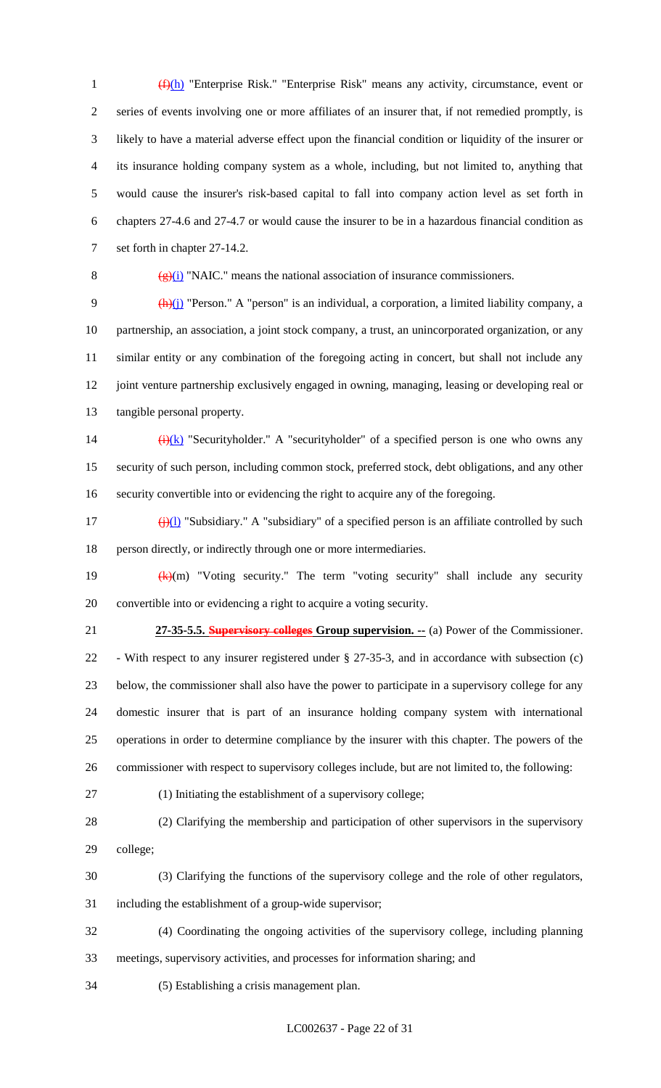(f)(h) "Enterprise Risk." "Enterprise Risk" means any activity, circumstance, event or series of events involving one or more affiliates of an insurer that, if not remedied promptly, is likely to have a material adverse effect upon the financial condition or liquidity of the insurer or its insurance holding company system as a whole, including, but not limited to, anything that would cause the insurer's risk-based capital to fall into company action level as set forth in chapters 27-4.6 and 27-4.7 or would cause the insurer to be in a hazardous financial condition as set forth in chapter 27-14.2.

8  $(g)(i)$  "NAIC." means the national association of insurance commissioners.

 $\frac{(h)(j)}{l}$  "Person." A "person" is an individual, a corporation, a limited liability company, a partnership, an association, a joint stock company, a trust, an unincorporated organization, or any similar entity or any combination of the foregoing acting in concert, but shall not include any joint venture partnership exclusively engaged in owning, managing, leasing or developing real or tangible personal property.

14  $\frac{(\mathbf{i})(\mathbf{k})}{(\mathbf{k})}$  "Securityholder." A "securityholder" of a specified person is one who owns any security of such person, including common stock, preferred stock, debt obligations, and any other security convertible into or evidencing the right to acquire any of the foregoing.

17 (j)(l) "Subsidiary." A "subsidiary" of a specified person is an affiliate controlled by such person directly, or indirectly through one or more intermediaries.

19  $(k)(m)$  "Voting security." The term "voting security" shall include any security convertible into or evidencing a right to acquire a voting security.

 **27-35-5.5. Supervisory colleges Group supervision. --** (a) Power of the Commissioner. - With respect to any insurer registered under § 27-35-3, and in accordance with subsection (c) below, the commissioner shall also have the power to participate in a supervisory college for any domestic insurer that is part of an insurance holding company system with international operations in order to determine compliance by the insurer with this chapter. The powers of the commissioner with respect to supervisory colleges include, but are not limited to, the following:

(1) Initiating the establishment of a supervisory college;

 (2) Clarifying the membership and participation of other supervisors in the supervisory college;

 (3) Clarifying the functions of the supervisory college and the role of other regulators, including the establishment of a group-wide supervisor;

 (4) Coordinating the ongoing activities of the supervisory college, including planning meetings, supervisory activities, and processes for information sharing; and

(5) Establishing a crisis management plan.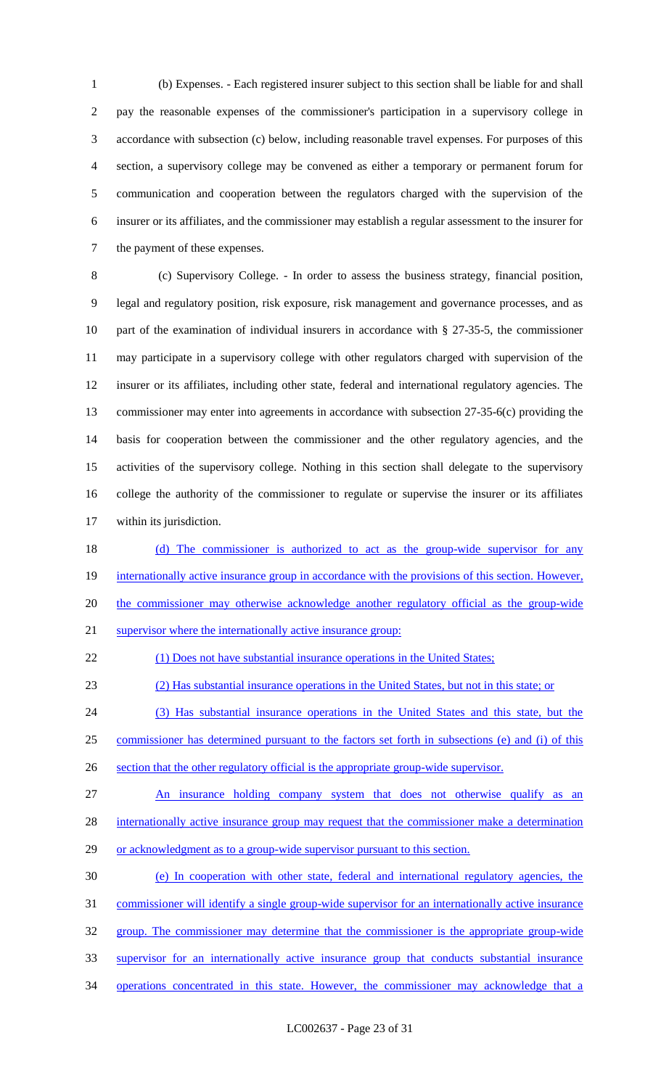(b) Expenses. - Each registered insurer subject to this section shall be liable for and shall pay the reasonable expenses of the commissioner's participation in a supervisory college in accordance with subsection (c) below, including reasonable travel expenses. For purposes of this section, a supervisory college may be convened as either a temporary or permanent forum for communication and cooperation between the regulators charged with the supervision of the insurer or its affiliates, and the commissioner may establish a regular assessment to the insurer for the payment of these expenses.

 (c) Supervisory College. - In order to assess the business strategy, financial position, legal and regulatory position, risk exposure, risk management and governance processes, and as part of the examination of individual insurers in accordance with § 27-35-5, the commissioner may participate in a supervisory college with other regulators charged with supervision of the insurer or its affiliates, including other state, federal and international regulatory agencies. The commissioner may enter into agreements in accordance with subsection 27-35-6(c) providing the basis for cooperation between the commissioner and the other regulatory agencies, and the activities of the supervisory college. Nothing in this section shall delegate to the supervisory college the authority of the commissioner to regulate or supervise the insurer or its affiliates within its jurisdiction.

18 (d) The commissioner is authorized to act as the group-wide supervisor for any 19 internationally active insurance group in accordance with the provisions of this section. However, the commissioner may otherwise acknowledge another regulatory official as the group-wide supervisor where the internationally active insurance group:

22 (1) Does not have substantial insurance operations in the United States;

(2) Has substantial insurance operations in the United States, but not in this state; or

(3) Has substantial insurance operations in the United States and this state, but the

commissioner has determined pursuant to the factors set forth in subsections (e) and (i) of this

section that the other regulatory official is the appropriate group-wide supervisor.

27 An insurance holding company system that does not otherwise qualify as an

28 internationally active insurance group may request that the commissioner make a determination

29 or acknowledgment as to a group-wide supervisor pursuant to this section.

(e) In cooperation with other state, federal and international regulatory agencies, the

commissioner will identify a single group-wide supervisor for an internationally active insurance

group. The commissioner may determine that the commissioner is the appropriate group-wide

supervisor for an internationally active insurance group that conducts substantial insurance

operations concentrated in this state. However, the commissioner may acknowledge that a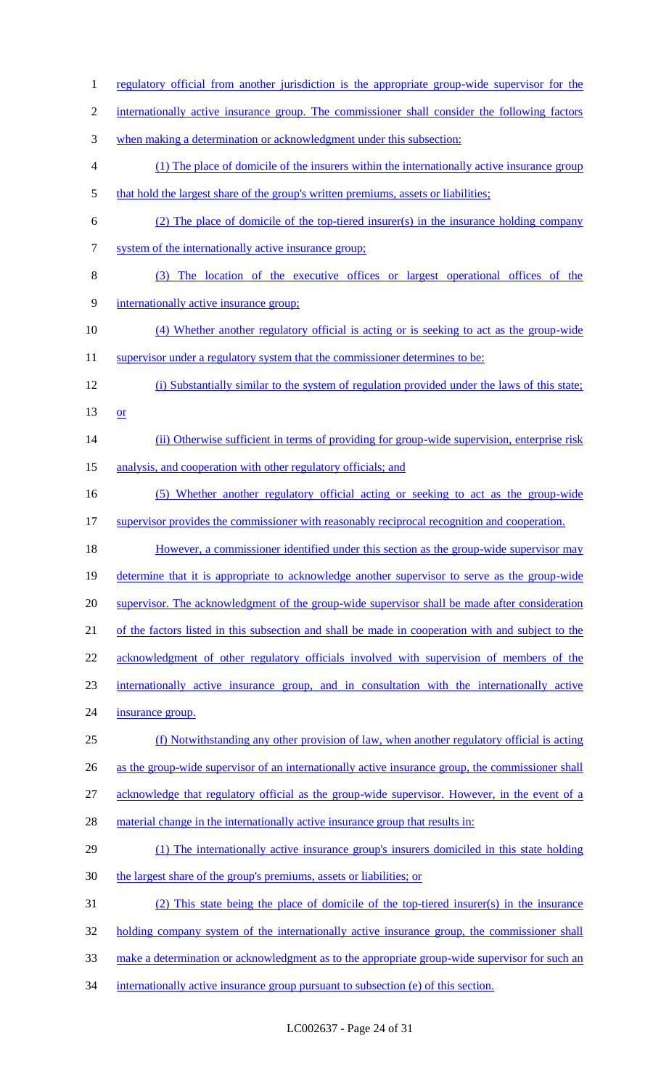internationally active insurance group. The commissioner shall consider the following factors when making a determination or acknowledgment under this subsection: (1) The place of domicile of the insurers within the internationally active insurance group 5 that hold the largest share of the group's written premiums, assets or liabilities; (2) The place of domicile of the top-tiered insurer(s) in the insurance holding company system of the internationally active insurance group; (3) The location of the executive offices or largest operational offices of the internationally active insurance group; (4) Whether another regulatory official is acting or is seeking to act as the group-wide 11 supervisor under a regulatory system that the commissioner determines to be: (i) Substantially similar to the system of regulation provided under the laws of this state; 13  $or$ 14 (ii) Otherwise sufficient in terms of providing for group-wide supervision, enterprise risk 15 analysis, and cooperation with other regulatory officials; and (5) Whether another regulatory official acting or seeking to act as the group-wide 17 supervisor provides the commissioner with reasonably reciprocal recognition and cooperation. 18 However, a commissioner identified under this section as the group-wide supervisor may determine that it is appropriate to acknowledge another supervisor to serve as the group-wide 20 supervisor. The acknowledgment of the group-wide supervisor shall be made after consideration of the factors listed in this subsection and shall be made in cooperation with and subject to the acknowledgment of other regulatory officials involved with supervision of members of the internationally active insurance group, and in consultation with the internationally active insurance group. (f) Notwithstanding any other provision of law, when another regulatory official is acting 26 as the group-wide supervisor of an internationally active insurance group, the commissioner shall acknowledge that regulatory official as the group-wide supervisor. However, in the event of a 28 material change in the internationally active insurance group that results in: (1) The internationally active insurance group's insurers domiciled in this state holding the largest share of the group's premiums, assets or liabilities; or (2) This state being the place of domicile of the top-tiered insurer(s) in the insurance 32 holding company system of the internationally active insurance group, the commissioner shall make a determination or acknowledgment as to the appropriate group-wide supervisor for such an 34 internationally active insurance group pursuant to subsection (e) of this section.

1 regulatory official from another jurisdiction is the appropriate group-wide supervisor for the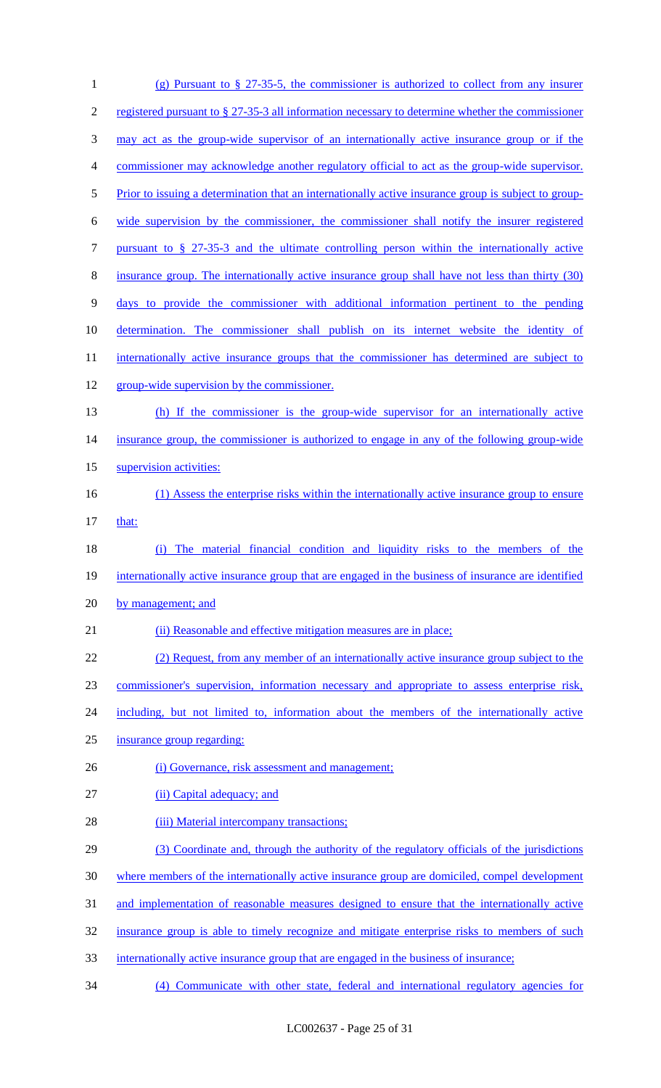| $\mathbf{1}$   | (g) Pursuant to § 27-35-5, the commissioner is authorized to collect from any insurer                |
|----------------|------------------------------------------------------------------------------------------------------|
| $\mathfrak{2}$ | registered pursuant to § 27-35-3 all information necessary to determine whether the commissioner     |
| 3              | may act as the group-wide supervisor of an internationally active insurance group or if the          |
| 4              | commissioner may acknowledge another regulatory official to act as the group-wide supervisor.        |
| 5              | Prior to issuing a determination that an internationally active insurance group is subject to group- |
| 6              | wide supervision by the commissioner, the commissioner shall notify the insurer registered           |
| 7              | pursuant to $\S$ 27-35-3 and the ultimate controlling person within the internationally active       |
| $8\,$          | insurance group. The internationally active insurance group shall have not less than thirty (30)     |
| $\overline{9}$ | days to provide the commissioner with additional information pertinent to the pending                |
| 10             | determination. The commissioner shall publish on its internet website the identity of                |
| 11             | internationally active insurance groups that the commissioner has determined are subject to          |
| 12             | group-wide supervision by the commissioner.                                                          |
| 13             | (h) If the commissioner is the group-wide supervisor for an internationally active                   |
| 14             | insurance group, the commissioner is authorized to engage in any of the following group-wide         |
| 15             | supervision activities:                                                                              |
| 16             | (1) Assess the enterprise risks within the internationally active insurance group to ensure          |
| 17             | that:                                                                                                |
| 18             | The material financial condition and liquidity risks to the members of the<br>(i)                    |
| 19             | internationally active insurance group that are engaged in the business of insurance are identified  |
| 20             | by management; and                                                                                   |
| 21             | (ii) Reasonable and effective mitigation measures are in place;                                      |
| 22             | (2) Request, from any member of an internationally active insurance group subject to the             |
| 23             | commissioner's supervision, information necessary and appropriate to assess enterprise risk,         |
| 24             | including, but not limited to, information about the members of the internationally active           |
| 25             | insurance group regarding:                                                                           |
| 26             | (i) Governance, risk assessment and management;                                                      |
| 27             | (ii) Capital adequacy; and                                                                           |
| 28             | (iii) Material intercompany transactions;                                                            |
| 29             | (3) Coordinate and, through the authority of the regulatory officials of the jurisdictions           |
| 30             | where members of the internationally active insurance group are domiciled, compel development        |
| 31             | and implementation of reasonable measures designed to ensure that the internationally active         |
| 32             | insurance group is able to timely recognize and mitigate enterprise risks to members of such         |
| 33             | internationally active insurance group that are engaged in the business of insurance;                |
| 34             | (4) Communicate with other state, federal and international regulatory agencies for                  |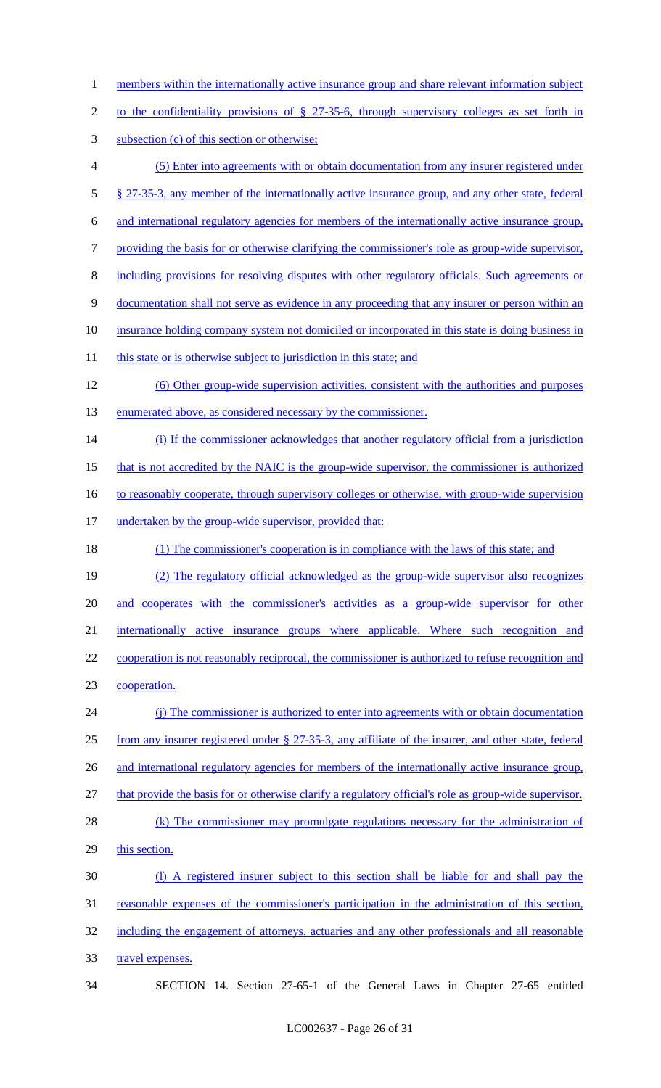- 1 members within the internationally active insurance group and share relevant information subject
- 2 to the confidentiality provisions of § 27-35-6, through supervisory colleges as set forth in
- 3 subsection (c) of this section or otherwise;
- 4 (5) Enter into agreements with or obtain documentation from any insurer registered under 5 § 27-35-3, any member of the internationally active insurance group, and any other state, federal 6 and international regulatory agencies for members of the internationally active insurance group, 7 providing the basis for or otherwise clarifying the commissioner's role as group-wide supervisor, 8 including provisions for resolving disputes with other regulatory officials. Such agreements or 9 documentation shall not serve as evidence in any proceeding that any insurer or person within an 10 insurance holding company system not domiciled or incorporated in this state is doing business in
- 11 this state or is otherwise subject to jurisdiction in this state; and
- 12 (6) Other group-wide supervision activities, consistent with the authorities and purposes 13 enumerated above, as considered necessary by the commissioner.
- 14 (i) If the commissioner acknowledges that another regulatory official from a jurisdiction
- 15 that is not accredited by the NAIC is the group-wide supervisor, the commissioner is authorized
- 16 to reasonably cooperate, through supervisory colleges or otherwise, with group-wide supervision
- 17 undertaken by the group-wide supervisor, provided that:
- 18 (1) The commissioner's cooperation is in compliance with the laws of this state; and
- 19 (2) The regulatory official acknowledged as the group-wide supervisor also recognizes
- 20 and cooperates with the commissioner's activities as a group-wide supervisor for other
- 21 internationally active insurance groups where applicable. Where such recognition and
- 22 cooperation is not reasonably reciprocal, the commissioner is authorized to refuse recognition and 23 cooperation.
- 24 (j) The commissioner is authorized to enter into agreements with or obtain documentation 25 from any insurer registered under § 27-35-3, any affiliate of the insurer, and other state, federal 26 and international regulatory agencies for members of the internationally active insurance group, 27 that provide the basis for or otherwise clarify a regulatory official's role as group-wide supervisor.
- 28 (k) The commissioner may promulgate regulations necessary for the administration of 29 this section.
- 30 (l) A registered insurer subject to this section shall be liable for and shall pay the 31 reasonable expenses of the commissioner's participation in the administration of this section, 32 including the engagement of attorneys, actuaries and any other professionals and all reasonable 33 travel expenses.
- 34 SECTION 14. Section 27-65-1 of the General Laws in Chapter 27-65 entitled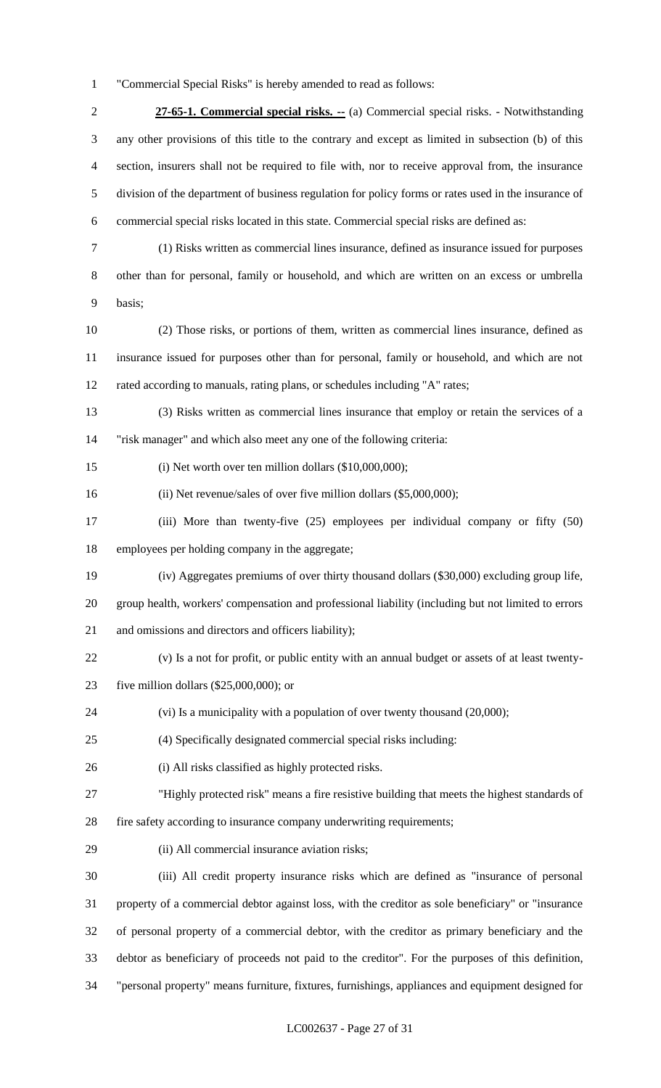"Commercial Special Risks" is hereby amended to read as follows:

 **27-65-1. Commercial special risks. --** (a) Commercial special risks. - Notwithstanding any other provisions of this title to the contrary and except as limited in subsection (b) of this section, insurers shall not be required to file with, nor to receive approval from, the insurance division of the department of business regulation for policy forms or rates used in the insurance of commercial special risks located in this state. Commercial special risks are defined as:

- (1) Risks written as commercial lines insurance, defined as insurance issued for purposes other than for personal, family or household, and which are written on an excess or umbrella basis;
- (2) Those risks, or portions of them, written as commercial lines insurance, defined as insurance issued for purposes other than for personal, family or household, and which are not rated according to manuals, rating plans, or schedules including "A" rates;
- (3) Risks written as commercial lines insurance that employ or retain the services of a "risk manager" and which also meet any one of the following criteria:
- (i) Net worth over ten million dollars (\$10,000,000);
- (ii) Net revenue/sales of over five million dollars (\$5,000,000);
- (iii) More than twenty-five (25) employees per individual company or fifty (50) employees per holding company in the aggregate;
- (iv) Aggregates premiums of over thirty thousand dollars (\$30,000) excluding group life,
- group health, workers' compensation and professional liability (including but not limited to errors and omissions and directors and officers liability);
- (v) Is a not for profit, or public entity with an annual budget or assets of at least twenty-
- five million dollars (\$25,000,000); or
- (vi) Is a municipality with a population of over twenty thousand (20,000);
- (4) Specifically designated commercial special risks including:
- (i) All risks classified as highly protected risks.
- "Highly protected risk" means a fire resistive building that meets the highest standards of
- fire safety according to insurance company underwriting requirements;
- (ii) All commercial insurance aviation risks;
- (iii) All credit property insurance risks which are defined as "insurance of personal property of a commercial debtor against loss, with the creditor as sole beneficiary" or "insurance of personal property of a commercial debtor, with the creditor as primary beneficiary and the debtor as beneficiary of proceeds not paid to the creditor". For the purposes of this definition, "personal property" means furniture, fixtures, furnishings, appliances and equipment designed for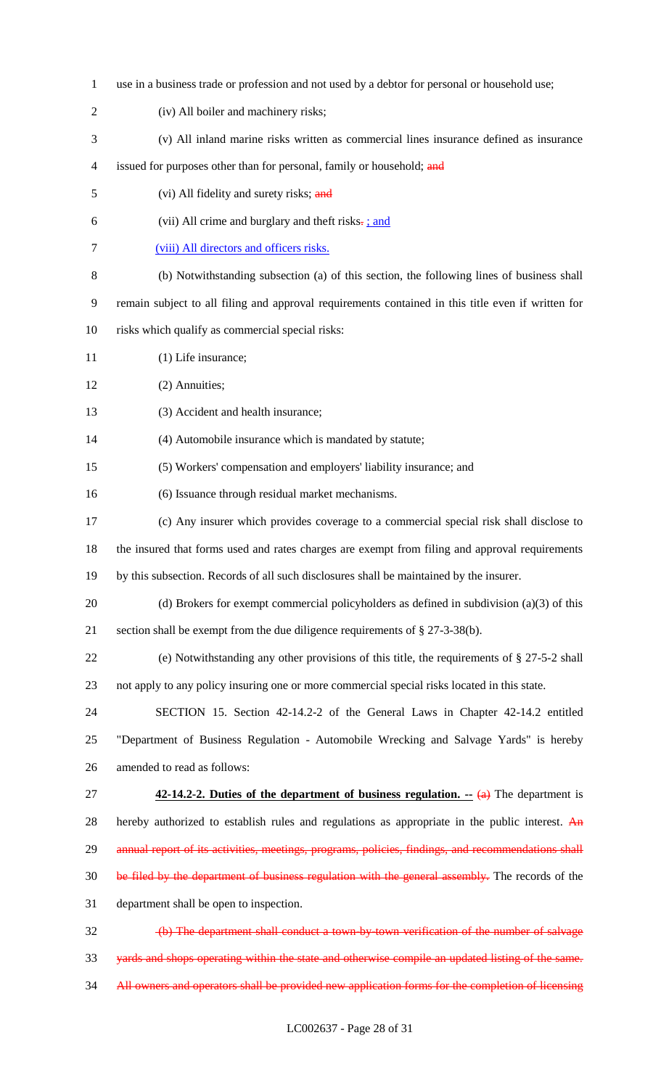use in a business trade or profession and not used by a debtor for personal or household use; (iv) All boiler and machinery risks; (v) All inland marine risks written as commercial lines insurance defined as insurance 4 issued for purposes other than for personal, family or household; and 5 (vi) All fidelity and surety risks; and 6 (vii) All crime and burglary and theft risks $\frac{1}{2}$ ; and (viii) All directors and officers risks. (b) Notwithstanding subsection (a) of this section, the following lines of business shall remain subject to all filing and approval requirements contained in this title even if written for risks which qualify as commercial special risks: 11 (1) Life insurance; (2) Annuities; (3) Accident and health insurance; (4) Automobile insurance which is mandated by statute; (5) Workers' compensation and employers' liability insurance; and (6) Issuance through residual market mechanisms. (c) Any insurer which provides coverage to a commercial special risk shall disclose to the insured that forms used and rates charges are exempt from filing and approval requirements by this subsection. Records of all such disclosures shall be maintained by the insurer. (d) Brokers for exempt commercial policyholders as defined in subdivision (a)(3) of this section shall be exempt from the due diligence requirements of § 27-3-38(b). (e) Notwithstanding any other provisions of this title, the requirements of § 27-5-2 shall not apply to any policy insuring one or more commercial special risks located in this state. SECTION 15. Section 42-14.2-2 of the General Laws in Chapter 42-14.2 entitled "Department of Business Regulation - Automobile Wrecking and Salvage Yards" is hereby amended to read as follows: **42-14.2-2. Duties of the department of business regulation.** -- (a) The department is 28 hereby authorized to establish rules and regulations as appropriate in the public interest. An 29 annual report of its activities, meetings, programs, policies, findings, and recommendations shall 30 be filed by the department of business regulation with the general assembly. The records of the department shall be open to inspection. (b) The department shall conduct a town-by-town verification of the number of salvage yards and shops operating within the state and otherwise compile an updated listing of the same. 34 All owners and operators shall be provided new application forms for the completion of licensing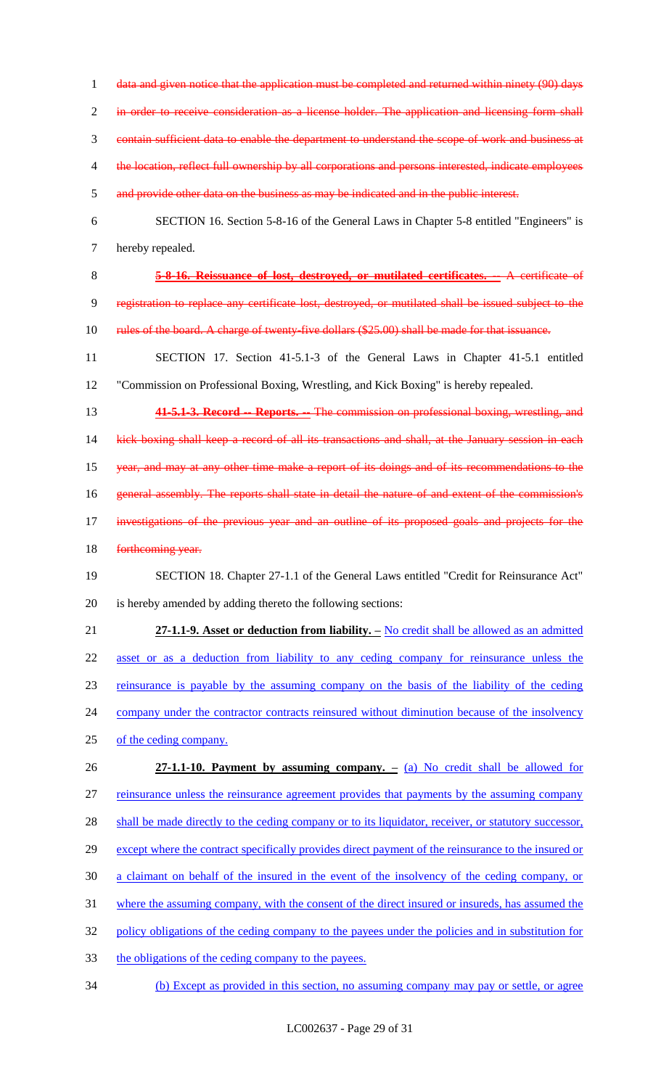1 data and given notice that the application must be completed and returned within ninety (90) days

in order to receive consideration as a license holder. The application and licensing form shall

contain sufficient data to enable the department to understand the scope of work and business at

- 4 the location, reflect full ownership by all corporations and persons interested, indicate employees
- and provide other data on the business as may be indicated and in the public interest.
- SECTION 16. Section 5-8-16 of the General Laws in Chapter 5-8 entitled "Engineers" is hereby repealed.
- **5-8-16. Reissuance of lost, destroyed, or mutilated certificates. --** A certificate of registration to replace any certificate lost, destroyed, or mutilated shall be issued subject to the
- 10 rules of the board. A charge of twenty-five dollars (\$25.00) shall be made for that issuance.
- SECTION 17. Section 41-5.1-3 of the General Laws in Chapter 41-5.1 entitled "Commission on Professional Boxing, Wrestling, and Kick Boxing" is hereby repealed.
- **41-5.1-3. Record -- Reports. --** The commission on professional boxing, wrestling, and

14 kick boxing shall keep a record of all its transactions and shall, at the January session in each year, and may at any other time make a report of its doings and of its recommendations to the 16 general assembly. The reports shall state in detail the nature of and extent of the commission's investigations of the previous year and an outline of its proposed goals and projects for the

18 forthcoming year.

# SECTION 18. Chapter 27-1.1 of the General Laws entitled "Credit for Reinsurance Act" is hereby amended by adding thereto the following sections:

 **27-1.1-9. Asset or deduction from liability. –** No credit shall be allowed as an admitted asset or as a deduction from liability to any ceding company for reinsurance unless the reinsurance is payable by the assuming company on the basis of the liability of the ceding 24 company under the contractor contracts reinsured without diminution because of the insolvency of the ceding company. **27-1.1-10. Payment by assuming company. –** (a) No credit shall be allowed for

 reinsurance unless the reinsurance agreement provides that payments by the assuming company 28 shall be made directly to the ceding company or to its liquidator, receiver, or statutory successor, 29 except where the contract specifically provides direct payment of the reinsurance to the insured or a claimant on behalf of the insured in the event of the insolvency of the ceding company, or

- where the assuming company, with the consent of the direct insured or insureds, has assumed the
- policy obligations of the ceding company to the payees under the policies and in substitution for
- the obligations of the ceding company to the payees.
- (b) Except as provided in this section, no assuming company may pay or settle, or agree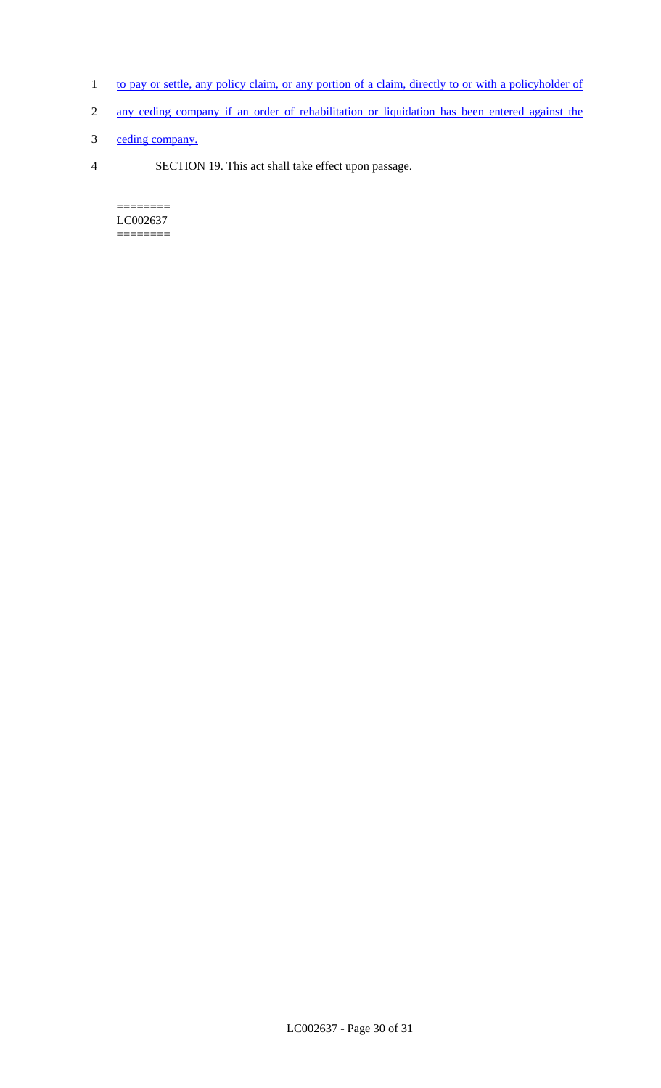- 1 to pay or settle, any policy claim, or any portion of a claim, directly to or with a policyholder of
- 2 any ceding company if an order of rehabilitation or liquidation has been entered against the
- 3 ceding company.
- 4 SECTION 19. This act shall take effect upon passage.

======== LC002637 ========